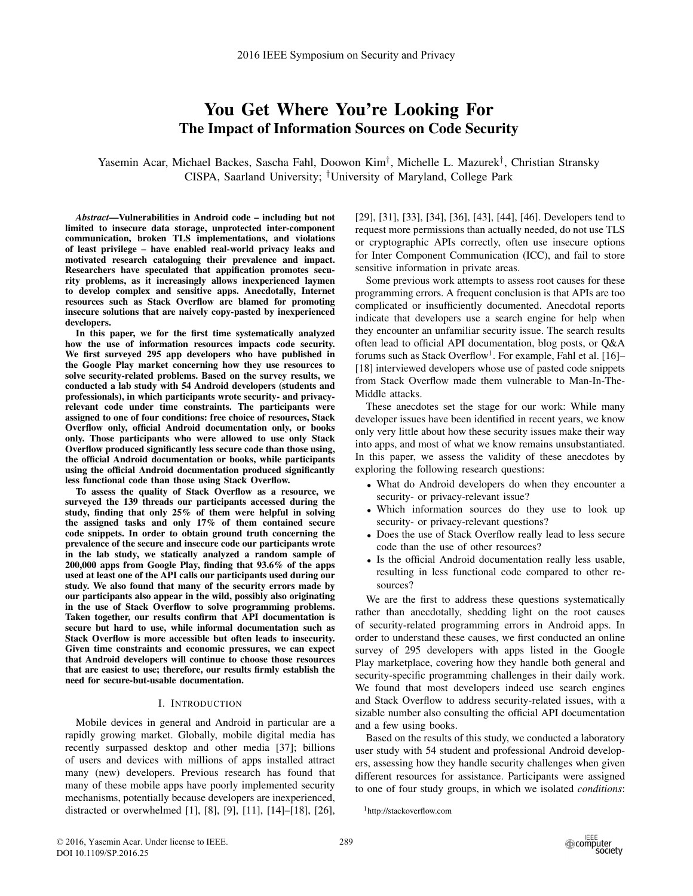# You Get Where You're Looking For The Impact of Information Sources on Code Security

Yasemin Acar, Michael Backes, Sascha Fahl, Doowon Kim†, Michelle L. Mazurek†, Christian Stransky CISPA, Saarland University; †University of Maryland, College Park

*Abstract*—Vulnerabilities in Android code – including but not limited to insecure data storage, unprotected inter-component communication, broken TLS implementations, and violations of least privilege – have enabled real-world privacy leaks and motivated research cataloguing their prevalence and impact. Researchers have speculated that appification promotes security problems, as it increasingly allows inexperienced laymen to develop complex and sensitive apps. Anecdotally, Internet resources such as Stack Overflow are blamed for promoting insecure solutions that are naively copy-pasted by inexperienced developers.

In this paper, we for the first time systematically analyzed how the use of information resources impacts code security. We first surveyed 295 app developers who have published in the Google Play market concerning how they use resources to solve security-related problems. Based on the survey results, we conducted a lab study with 54 Android developers (students and professionals), in which participants wrote security- and privacyrelevant code under time constraints. The participants were assigned to one of four conditions: free choice of resources, Stack Overflow only, official Android documentation only, or books only. Those participants who were allowed to use only Stack Overflow produced significantly less secure code than those using, the official Android documentation or books, while participants using the official Android documentation produced significantly less functional code than those using Stack Overflow.

To assess the quality of Stack Overflow as a resource, we surveyed the 139 threads our participants accessed during the study, finding that only 25% of them were helpful in solving the assigned tasks and only 17% of them contained secure code snippets. In order to obtain ground truth concerning the prevalence of the secure and insecure code our participants wrote in the lab study, we statically analyzed a random sample of 200,000 apps from Google Play, finding that 93.6% of the apps used at least one of the API calls our participants used during our study. We also found that many of the security errors made by our participants also appear in the wild, possibly also originating in the use of Stack Overflow to solve programming problems. Taken together, our results confirm that API documentation is secure but hard to use, while informal documentation such as Stack Overflow is more accessible but often leads to insecurity. Given time constraints and economic pressures, we can expect that Android developers will continue to choose those resources that are easiest to use; therefore, our results firmly establish the need for secure-but-usable documentation.

# I. INTRODUCTION

Mobile devices in general and Android in particular are a rapidly growing market. Globally, mobile digital media has recently surpassed desktop and other media [37]; billions of users and devices with millions of apps installed attract many (new) developers. Previous research has found that many of these mobile apps have poorly implemented security mechanisms, potentially because developers are inexperienced, distracted or overwhelmed [1], [8], [9], [11], [14]–[18], [26], [29], [31], [33], [34], [36], [43], [44], [46]. Developers tend to request more permissions than actually needed, do not use TLS or cryptographic APIs correctly, often use insecure options for Inter Component Communication (ICC), and fail to store sensitive information in private areas.

Some previous work attempts to assess root causes for these programming errors. A frequent conclusion is that APIs are too complicated or insufficiently documented. Anecdotal reports indicate that developers use a search engine for help when they encounter an unfamiliar security issue. The search results often lead to official API documentation, blog posts, or Q&A forums such as Stack Overflow<sup>1</sup>. For example, Fahl et al. [16]– [18] interviewed developers whose use of pasted code snippets from Stack Overflow made them vulnerable to Man-In-The-Middle attacks.

These anecdotes set the stage for our work: While many developer issues have been identified in recent years, we know only very little about how these security issues make their way into apps, and most of what we know remains unsubstantiated. In this paper, we assess the validity of these anecdotes by exploring the following research questions:

- What do Android developers do when they encounter a security- or privacy-relevant issue?
- Which information sources do they use to look up security- or privacy-relevant questions?
- Does the use of Stack Overflow really lead to less secure code than the use of other resources?
- Is the official Android documentation really less usable, resulting in less functional code compared to other resources?

We are the first to address these questions systematically rather than anecdotally, shedding light on the root causes of security-related programming errors in Android apps. In order to understand these causes, we first conducted an online survey of 295 developers with apps listed in the Google Play marketplace, covering how they handle both general and security-specific programming challenges in their daily work. We found that most developers indeed use search engines and Stack Overflow to address security-related issues, with a sizable number also consulting the official API documentation and a few using books.

Based on the results of this study, we conducted a laboratory user study with 54 student and professional Android developers, assessing how they handle security challenges when given different resources for assistance. Participants were assigned to one of four study groups, in which we isolated *conditions*:

<sup>1</sup>http://stackoverflow.com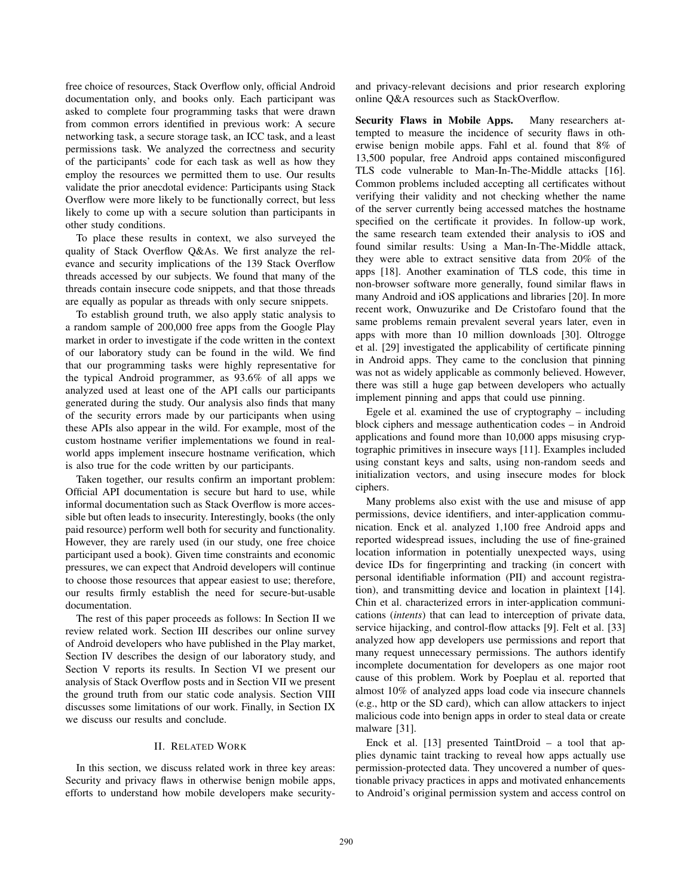free choice of resources, Stack Overflow only, official Android documentation only, and books only. Each participant was asked to complete four programming tasks that were drawn from common errors identified in previous work: A secure networking task, a secure storage task, an ICC task, and a least permissions task. We analyzed the correctness and security of the participants' code for each task as well as how they employ the resources we permitted them to use. Our results validate the prior anecdotal evidence: Participants using Stack Overflow were more likely to be functionally correct, but less likely to come up with a secure solution than participants in other study conditions.

To place these results in context, we also surveyed the quality of Stack Overflow Q&As. We first analyze the relevance and security implications of the 139 Stack Overflow threads accessed by our subjects. We found that many of the threads contain insecure code snippets, and that those threads are equally as popular as threads with only secure snippets.

To establish ground truth, we also apply static analysis to a random sample of 200,000 free apps from the Google Play market in order to investigate if the code written in the context of our laboratory study can be found in the wild. We find that our programming tasks were highly representative for the typical Android programmer, as 93.6% of all apps we analyzed used at least one of the API calls our participants generated during the study. Our analysis also finds that many of the security errors made by our participants when using these APIs also appear in the wild. For example, most of the custom hostname verifier implementations we found in realworld apps implement insecure hostname verification, which is also true for the code written by our participants.

Taken together, our results confirm an important problem: Official API documentation is secure but hard to use, while informal documentation such as Stack Overflow is more accessible but often leads to insecurity. Interestingly, books (the only paid resource) perform well both for security and functionality. However, they are rarely used (in our study, one free choice participant used a book). Given time constraints and economic pressures, we can expect that Android developers will continue to choose those resources that appear easiest to use; therefore, our results firmly establish the need for secure-but-usable documentation.

The rest of this paper proceeds as follows: In Section II we review related work. Section III describes our online survey of Android developers who have published in the Play market, Section IV describes the design of our laboratory study, and Section V reports its results. In Section VI we present our analysis of Stack Overflow posts and in Section VII we present the ground truth from our static code analysis. Section VIII discusses some limitations of our work. Finally, in Section IX we discuss our results and conclude.

## II. RELATED WORK

In this section, we discuss related work in three key areas: Security and privacy flaws in otherwise benign mobile apps, efforts to understand how mobile developers make securityand privacy-relevant decisions and prior research exploring online Q&A resources such as StackOverflow.

Security Flaws in Mobile Apps. Many researchers attempted to measure the incidence of security flaws in otherwise benign mobile apps. Fahl et al. found that 8% of 13,500 popular, free Android apps contained misconfigured TLS code vulnerable to Man-In-The-Middle attacks [16]. Common problems included accepting all certificates without verifying their validity and not checking whether the name of the server currently being accessed matches the hostname specified on the certificate it provides. In follow-up work, the same research team extended their analysis to iOS and found similar results: Using a Man-In-The-Middle attack, they were able to extract sensitive data from 20% of the apps [18]. Another examination of TLS code, this time in non-browser software more generally, found similar flaws in many Android and iOS applications and libraries [20]. In more recent work, Onwuzurike and De Cristofaro found that the same problems remain prevalent several years later, even in apps with more than 10 million downloads [30]. Oltrogge et al. [29] investigated the applicability of certificate pinning in Android apps. They came to the conclusion that pinning was not as widely applicable as commonly believed. However, there was still a huge gap between developers who actually implement pinning and apps that could use pinning.

Egele et al. examined the use of cryptography – including block ciphers and message authentication codes – in Android applications and found more than 10,000 apps misusing cryptographic primitives in insecure ways [11]. Examples included using constant keys and salts, using non-random seeds and initialization vectors, and using insecure modes for block ciphers.

Many problems also exist with the use and misuse of app permissions, device identifiers, and inter-application communication. Enck et al. analyzed 1,100 free Android apps and reported widespread issues, including the use of fine-grained location information in potentially unexpected ways, using device IDs for fingerprinting and tracking (in concert with personal identifiable information (PII) and account registration), and transmitting device and location in plaintext [14]. Chin et al. characterized errors in inter-application communications (*intents*) that can lead to interception of private data, service hijacking, and control-flow attacks [9]. Felt et al. [33] analyzed how app developers use permissions and report that many request unnecessary permissions. The authors identify incomplete documentation for developers as one major root cause of this problem. Work by Poeplau et al. reported that almost 10% of analyzed apps load code via insecure channels (e.g., http or the SD card), which can allow attackers to inject malicious code into benign apps in order to steal data or create malware [31].

Enck et al. [13] presented TaintDroid – a tool that applies dynamic taint tracking to reveal how apps actually use permission-protected data. They uncovered a number of questionable privacy practices in apps and motivated enhancements to Android's original permission system and access control on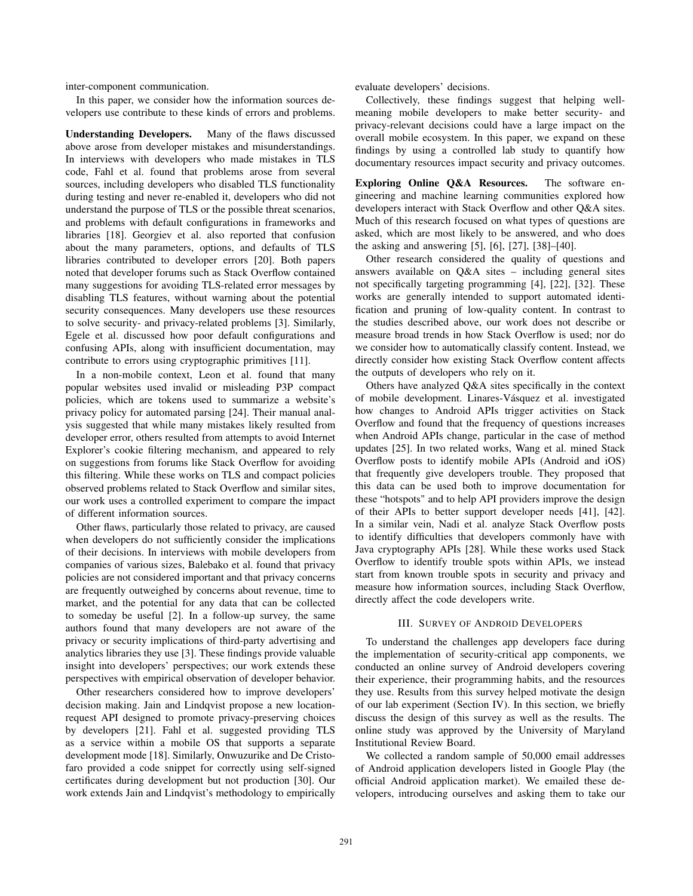inter-component communication.

In this paper, we consider how the information sources developers use contribute to these kinds of errors and problems.

Understanding Developers. Many of the flaws discussed above arose from developer mistakes and misunderstandings. In interviews with developers who made mistakes in TLS code, Fahl et al. found that problems arose from several sources, including developers who disabled TLS functionality during testing and never re-enabled it, developers who did not understand the purpose of TLS or the possible threat scenarios, and problems with default configurations in frameworks and libraries [18]. Georgiev et al. also reported that confusion about the many parameters, options, and defaults of TLS libraries contributed to developer errors [20]. Both papers noted that developer forums such as Stack Overflow contained many suggestions for avoiding TLS-related error messages by disabling TLS features, without warning about the potential security consequences. Many developers use these resources to solve security- and privacy-related problems [3]. Similarly, Egele et al. discussed how poor default configurations and confusing APIs, along with insufficient documentation, may contribute to errors using cryptographic primitives [11].

In a non-mobile context, Leon et al. found that many popular websites used invalid or misleading P3P compact policies, which are tokens used to summarize a website's privacy policy for automated parsing [24]. Their manual analysis suggested that while many mistakes likely resulted from developer error, others resulted from attempts to avoid Internet Explorer's cookie filtering mechanism, and appeared to rely on suggestions from forums like Stack Overflow for avoiding this filtering. While these works on TLS and compact policies observed problems related to Stack Overflow and similar sites, our work uses a controlled experiment to compare the impact of different information sources.

Other flaws, particularly those related to privacy, are caused when developers do not sufficiently consider the implications of their decisions. In interviews with mobile developers from companies of various sizes, Balebako et al. found that privacy policies are not considered important and that privacy concerns are frequently outweighed by concerns about revenue, time to market, and the potential for any data that can be collected to someday be useful [2]. In a follow-up survey, the same authors found that many developers are not aware of the privacy or security implications of third-party advertising and analytics libraries they use [3]. These findings provide valuable insight into developers' perspectives; our work extends these perspectives with empirical observation of developer behavior.

Other researchers considered how to improve developers' decision making. Jain and Lindqvist propose a new locationrequest API designed to promote privacy-preserving choices by developers [21]. Fahl et al. suggested providing TLS as a service within a mobile OS that supports a separate development mode [18]. Similarly, Onwuzurike and De Cristofaro provided a code snippet for correctly using self-signed certificates during development but not production [30]. Our work extends Jain and Lindqvist's methodology to empirically evaluate developers' decisions.

Collectively, these findings suggest that helping wellmeaning mobile developers to make better security- and privacy-relevant decisions could have a large impact on the overall mobile ecosystem. In this paper, we expand on these findings by using a controlled lab study to quantify how documentary resources impact security and privacy outcomes.

Exploring Online Q&A Resources. The software engineering and machine learning communities explored how developers interact with Stack Overflow and other Q&A sites. Much of this research focused on what types of questions are asked, which are most likely to be answered, and who does the asking and answering [5], [6], [27], [38]–[40].

Other research considered the quality of questions and answers available on Q&A sites – including general sites not specifically targeting programming [4], [22], [32]. These works are generally intended to support automated identification and pruning of low-quality content. In contrast to the studies described above, our work does not describe or measure broad trends in how Stack Overflow is used; nor do we consider how to automatically classify content. Instead, we directly consider how existing Stack Overflow content affects the outputs of developers who rely on it.

Others have analyzed Q&A sites specifically in the context of mobile development. Linares-Vásquez et al. investigated how changes to Android APIs trigger activities on Stack Overflow and found that the frequency of questions increases when Android APIs change, particular in the case of method updates [25]. In two related works, Wang et al. mined Stack Overflow posts to identify mobile APIs (Android and iOS) that frequently give developers trouble. They proposed that this data can be used both to improve documentation for these "hotspots" and to help API providers improve the design of their APIs to better support developer needs [41], [42]. In a similar vein, Nadi et al. analyze Stack Overflow posts to identify difficulties that developers commonly have with Java cryptography APIs [28]. While these works used Stack Overflow to identify trouble spots within APIs, we instead start from known trouble spots in security and privacy and measure how information sources, including Stack Overflow, directly affect the code developers write.

## III. SURVEY OF ANDROID DEVELOPERS

To understand the challenges app developers face during the implementation of security-critical app components, we conducted an online survey of Android developers covering their experience, their programming habits, and the resources they use. Results from this survey helped motivate the design of our lab experiment (Section IV). In this section, we briefly discuss the design of this survey as well as the results. The online study was approved by the University of Maryland Institutional Review Board.

We collected a random sample of 50,000 email addresses of Android application developers listed in Google Play (the official Android application market). We emailed these developers, introducing ourselves and asking them to take our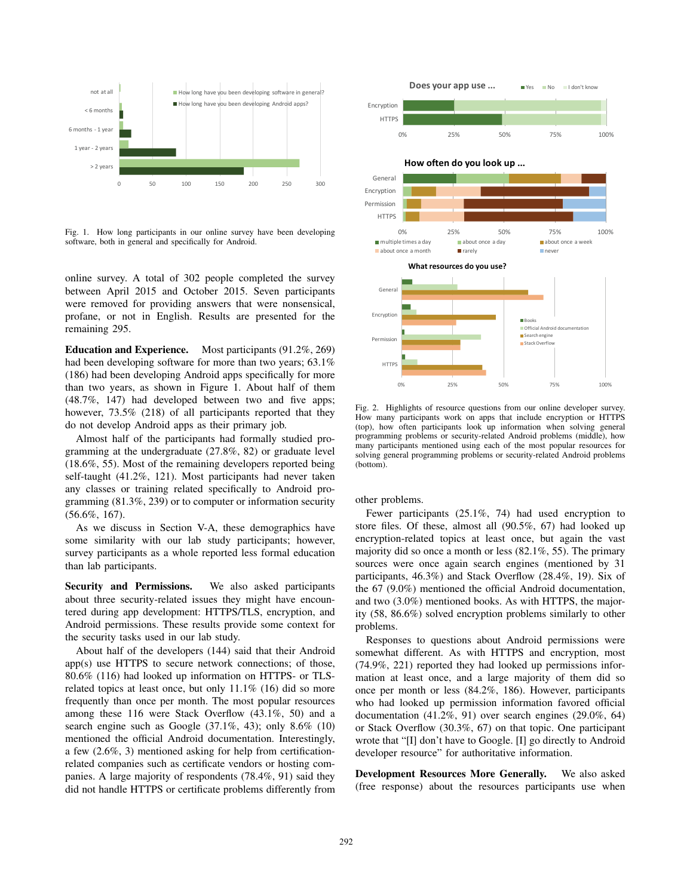

Fig. 1. How long participants in our online survey have been developing software, both in general and specifically for Android.

online survey. A total of 302 people completed the survey between April 2015 and October 2015. Seven participants were removed for providing answers that were nonsensical, profane, or not in English. Results are presented for the remaining 295.

Education and Experience. Most participants (91.2%, 269) had been developing software for more than two years; 63.1% (186) had been developing Android apps specifically for more than two years, as shown in Figure 1. About half of them (48.7%, 147) had developed between two and five apps; however, 73.5% (218) of all participants reported that they do not develop Android apps as their primary job.

Almost half of the participants had formally studied programming at the undergraduate (27.8%, 82) or graduate level (18.6%, 55). Most of the remaining developers reported being self-taught (41.2%, 121). Most participants had never taken any classes or training related specifically to Android programming (81.3%, 239) or to computer or information security (56.6%, 167).

As we discuss in Section V-A, these demographics have some similarity with our lab study participants; however, survey participants as a whole reported less formal education than lab participants.

Security and Permissions. We also asked participants about three security-related issues they might have encountered during app development: HTTPS/TLS, encryption, and Android permissions. These results provide some context for the security tasks used in our lab study.

About half of the developers (144) said that their Android app(s) use HTTPS to secure network connections; of those, 80.6% (116) had looked up information on HTTPS- or TLSrelated topics at least once, but only 11.1% (16) did so more frequently than once per month. The most popular resources among these 116 were Stack Overflow (43.1%, 50) and a search engine such as Google (37.1%, 43); only 8.6% (10) mentioned the official Android documentation. Interestingly, a few (2.6%, 3) mentioned asking for help from certificationrelated companies such as certificate vendors or hosting companies. A large majority of respondents (78.4%, 91) said they did not handle HTTPS or certificate problems differently from



Fig. 2. Highlights of resource questions from our online developer survey. How many participants work on apps that include encryption or HTTPS (top), how often participants look up information when solving general programming problems or security-related Android problems (middle), how many participants mentioned using each of the most popular resources for solving general programming problems or security-related Android problems (bottom).

other problems.

Fewer participants (25.1%, 74) had used encryption to store files. Of these, almost all (90.5%, 67) had looked up encryption-related topics at least once, but again the vast majority did so once a month or less (82.1%, 55). The primary sources were once again search engines (mentioned by 31 participants, 46.3%) and Stack Overflow (28.4%, 19). Six of the 67 (9.0%) mentioned the official Android documentation, and two (3.0%) mentioned books. As with HTTPS, the majority (58, 86.6%) solved encryption problems similarly to other problems.

Responses to questions about Android permissions were somewhat different. As with HTTPS and encryption, most (74.9%, 221) reported they had looked up permissions information at least once, and a large majority of them did so once per month or less (84.2%, 186). However, participants who had looked up permission information favored official documentation (41.2%, 91) over search engines (29.0%, 64) or Stack Overflow (30.3%, 67) on that topic. One participant wrote that "[I] don't have to Google. [I] go directly to Android developer resource" for authoritative information.

Development Resources More Generally. We also asked (free response) about the resources participants use when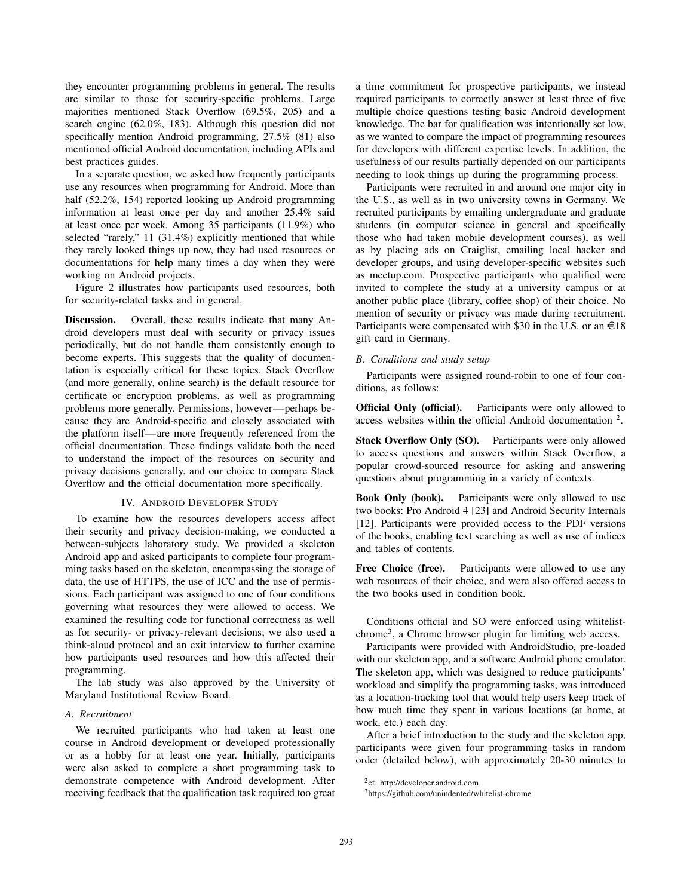they encounter programming problems in general. The results are similar to those for security-specific problems. Large majorities mentioned Stack Overflow (69.5%, 205) and a search engine (62.0%, 183). Although this question did not specifically mention Android programming, 27.5% (81) also mentioned official Android documentation, including APIs and best practices guides.

In a separate question, we asked how frequently participants use any resources when programming for Android. More than half (52.2%, 154) reported looking up Android programming information at least once per day and another 25.4% said at least once per week. Among 35 participants (11.9%) who selected "rarely," 11 (31.4%) explicitly mentioned that while they rarely looked things up now, they had used resources or documentations for help many times a day when they were working on Android projects.

Figure 2 illustrates how participants used resources, both for security-related tasks and in general.

Discussion. Overall, these results indicate that many Android developers must deal with security or privacy issues periodically, but do not handle them consistently enough to become experts. This suggests that the quality of documentation is especially critical for these topics. Stack Overflow (and more generally, online search) is the default resource for certificate or encryption problems, as well as programming problems more generally. Permissions, however—perhaps because they are Android-specific and closely associated with the platform itself—are more frequently referenced from the official documentation. These findings validate both the need to understand the impact of the resources on security and privacy decisions generally, and our choice to compare Stack Overflow and the official documentation more specifically.

## IV. ANDROID DEVELOPER STUDY

To examine how the resources developers access affect their security and privacy decision-making, we conducted a between-subjects laboratory study. We provided a skeleton Android app and asked participants to complete four programming tasks based on the skeleton, encompassing the storage of data, the use of HTTPS, the use of ICC and the use of permissions. Each participant was assigned to one of four conditions governing what resources they were allowed to access. We examined the resulting code for functional correctness as well as for security- or privacy-relevant decisions; we also used a think-aloud protocol and an exit interview to further examine how participants used resources and how this affected their programming.

The lab study was also approved by the University of Maryland Institutional Review Board.

#### *A. Recruitment*

We recruited participants who had taken at least one course in Android development or developed professionally or as a hobby for at least one year. Initially, participants were also asked to complete a short programming task to demonstrate competence with Android development. After receiving feedback that the qualification task required too great a time commitment for prospective participants, we instead required participants to correctly answer at least three of five multiple choice questions testing basic Android development knowledge. The bar for qualification was intentionally set low, as we wanted to compare the impact of programming resources for developers with different expertise levels. In addition, the usefulness of our results partially depended on our participants needing to look things up during the programming process.

Participants were recruited in and around one major city in the U.S., as well as in two university towns in Germany. We recruited participants by emailing undergraduate and graduate students (in computer science in general and specifically those who had taken mobile development courses), as well as by placing ads on Craiglist, emailing local hacker and developer groups, and using developer-specific websites such as meetup.com. Prospective participants who qualified were invited to complete the study at a university campus or at another public place (library, coffee shop) of their choice. No mention of security or privacy was made during recruitment. Participants were compensated with \$30 in the U.S. or an  $\epsilon$ 18 gift card in Germany.

#### *B. Conditions and study setup*

Participants were assigned round-robin to one of four conditions, as follows:

**Official Only (official).** Participants were only allowed to access websites within the official Android documentation  $2$ .

Stack Overflow Only (SO). Participants were only allowed to access questions and answers within Stack Overflow, a popular crowd-sourced resource for asking and answering questions about programming in a variety of contexts.

Book Only (book). Participants were only allowed to use two books: Pro Android 4 [23] and Android Security Internals [12]. Participants were provided access to the PDF versions of the books, enabling text searching as well as use of indices and tables of contents.

Free Choice (free). Participants were allowed to use any web resources of their choice, and were also offered access to the two books used in condition book.

Conditions official and SO were enforced using whitelistchrome3, a Chrome browser plugin for limiting web access.

Participants were provided with AndroidStudio, pre-loaded with our skeleton app, and a software Android phone emulator. The skeleton app, which was designed to reduce participants' workload and simplify the programming tasks, was introduced as a location-tracking tool that would help users keep track of how much time they spent in various locations (at home, at work, etc.) each day.

After a brief introduction to the study and the skeleton app, participants were given four programming tasks in random order (detailed below), with approximately 20-30 minutes to

<sup>&</sup>lt;sup>2</sup>cf. http://developer.android.com

<sup>3</sup>https://github.com/unindented/whitelist-chrome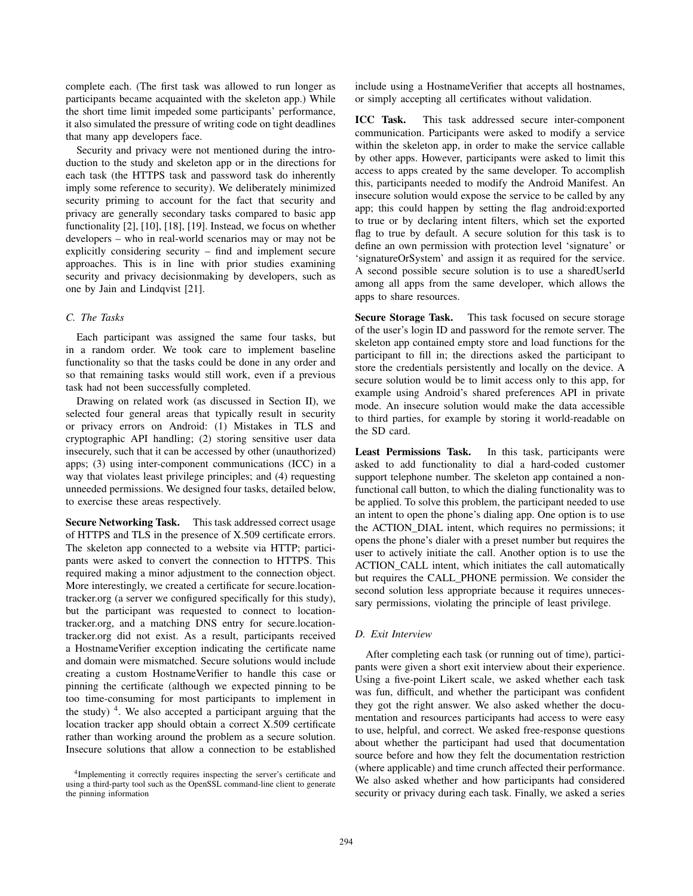complete each. (The first task was allowed to run longer as participants became acquainted with the skeleton app.) While the short time limit impeded some participants' performance, it also simulated the pressure of writing code on tight deadlines that many app developers face.

Security and privacy were not mentioned during the introduction to the study and skeleton app or in the directions for each task (the HTTPS task and password task do inherently imply some reference to security). We deliberately minimized security priming to account for the fact that security and privacy are generally secondary tasks compared to basic app functionality [2], [10], [18], [19]. Instead, we focus on whether developers – who in real-world scenarios may or may not be explicitly considering security – find and implement secure approaches. This is in line with prior studies examining security and privacy decisionmaking by developers, such as one by Jain and Lindqvist [21].

# *C. The Tasks*

Each participant was assigned the same four tasks, but in a random order. We took care to implement baseline functionality so that the tasks could be done in any order and so that remaining tasks would still work, even if a previous task had not been successfully completed.

Drawing on related work (as discussed in Section II), we selected four general areas that typically result in security or privacy errors on Android: (1) Mistakes in TLS and cryptographic API handling; (2) storing sensitive user data insecurely, such that it can be accessed by other (unauthorized) apps; (3) using inter-component communications (ICC) in a way that violates least privilege principles; and (4) requesting unneeded permissions. We designed four tasks, detailed below, to exercise these areas respectively.

Secure Networking Task. This task addressed correct usage of HTTPS and TLS in the presence of X.509 certificate errors. The skeleton app connected to a website via HTTP; participants were asked to convert the connection to HTTPS. This required making a minor adjustment to the connection object. More interestingly, we created a certificate for secure.locationtracker.org (a server we configured specifically for this study), but the participant was requested to connect to locationtracker.org, and a matching DNS entry for secure.locationtracker.org did not exist. As a result, participants received a HostnameVerifier exception indicating the certificate name and domain were mismatched. Secure solutions would include creating a custom HostnameVerifier to handle this case or pinning the certificate (although we expected pinning to be too time-consuming for most participants to implement in the study)  $4$ . We also accepted a participant arguing that the location tracker app should obtain a correct X.509 certificate rather than working around the problem as a secure solution. Insecure solutions that allow a connection to be established include using a HostnameVerifier that accepts all hostnames, or simply accepting all certificates without validation.

ICC Task. This task addressed secure inter-component communication. Participants were asked to modify a service within the skeleton app, in order to make the service callable by other apps. However, participants were asked to limit this access to apps created by the same developer. To accomplish this, participants needed to modify the Android Manifest. An insecure solution would expose the service to be called by any app; this could happen by setting the flag android:exported to true or by declaring intent filters, which set the exported flag to true by default. A secure solution for this task is to define an own permission with protection level 'signature' or 'signatureOrSystem' and assign it as required for the service. A second possible secure solution is to use a sharedUserId among all apps from the same developer, which allows the apps to share resources.

Secure Storage Task. This task focused on secure storage of the user's login ID and password for the remote server. The skeleton app contained empty store and load functions for the participant to fill in; the directions asked the participant to store the credentials persistently and locally on the device. A secure solution would be to limit access only to this app, for example using Android's shared preferences API in private mode. An insecure solution would make the data accessible to third parties, for example by storing it world-readable on the SD card.

Least Permissions Task. In this task, participants were asked to add functionality to dial a hard-coded customer support telephone number. The skeleton app contained a nonfunctional call button, to which the dialing functionality was to be applied. To solve this problem, the participant needed to use an intent to open the phone's dialing app. One option is to use the ACTION\_DIAL intent, which requires no permissions; it opens the phone's dialer with a preset number but requires the user to actively initiate the call. Another option is to use the ACTION\_CALL intent, which initiates the call automatically but requires the CALL\_PHONE permission. We consider the second solution less appropriate because it requires unnecessary permissions, violating the principle of least privilege.

#### *D. Exit Interview*

After completing each task (or running out of time), participants were given a short exit interview about their experience. Using a five-point Likert scale, we asked whether each task was fun, difficult, and whether the participant was confident they got the right answer. We also asked whether the documentation and resources participants had access to were easy to use, helpful, and correct. We asked free-response questions about whether the participant had used that documentation source before and how they felt the documentation restriction (where applicable) and time crunch affected their performance. We also asked whether and how participants had considered security or privacy during each task. Finally, we asked a series

<sup>4</sup>Implementing it correctly requires inspecting the server's certificate and using a third-party tool such as the OpenSSL command-line client to generate the pinning information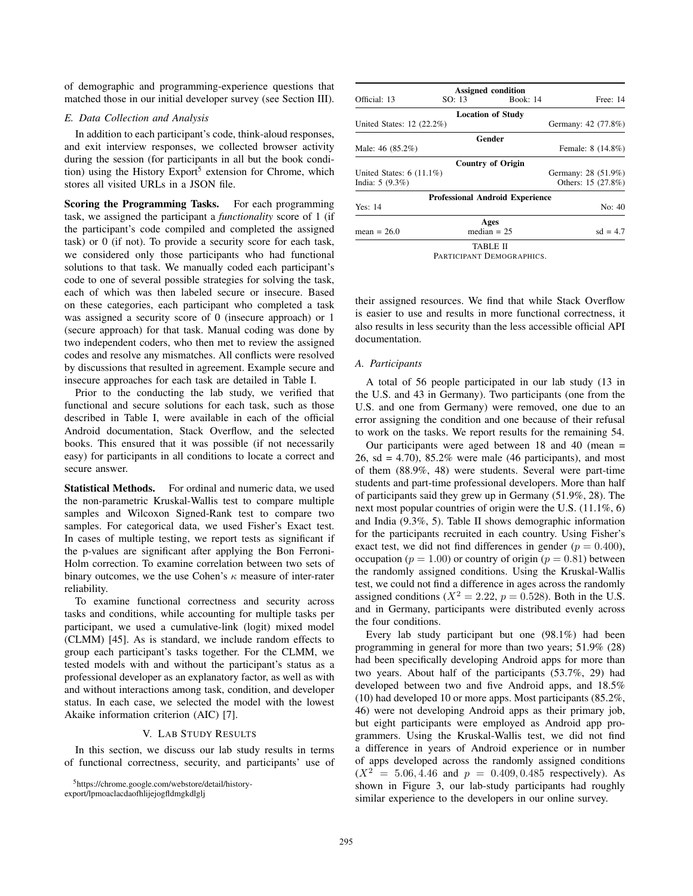of demographic and programming-experience questions that matched those in our initial developer survey (see Section III).

# *E. Data Collection and Analysis*

In addition to each participant's code, think-aloud responses, and exit interview responses, we collected browser activity during the session (for participants in all but the book condition) using the History Export<sup>5</sup> extension for Chrome, which stores all visited URLs in a JSON file.

Scoring the Programming Tasks. For each programming task, we assigned the participant a *functionality* score of 1 (if the participant's code compiled and completed the assigned task) or 0 (if not). To provide a security score for each task, we considered only those participants who had functional solutions to that task. We manually coded each participant's code to one of several possible strategies for solving the task, each of which was then labeled secure or insecure. Based on these categories, each participant who completed a task was assigned a security score of 0 (insecure approach) or 1 (secure approach) for that task. Manual coding was done by two independent coders, who then met to review the assigned codes and resolve any mismatches. All conflicts were resolved by discussions that resulted in agreement. Example secure and insecure approaches for each task are detailed in Table I.

Prior to the conducting the lab study, we verified that functional and secure solutions for each task, such as those described in Table I, were available in each of the official Android documentation, Stack Overflow, and the selected books. This ensured that it was possible (if not necessarily easy) for participants in all conditions to locate a correct and secure answer.

Statistical Methods. For ordinal and numeric data, we used the non-parametric Kruskal-Wallis test to compare multiple samples and Wilcoxon Signed-Rank test to compare two samples. For categorical data, we used Fisher's Exact test. In cases of multiple testing, we report tests as significant if the p-values are significant after applying the Bon Ferroni-Holm correction. To examine correlation between two sets of binary outcomes, we the use Cohen's  $\kappa$  measure of inter-rater reliability.

To examine functional correctness and security across tasks and conditions, while accounting for multiple tasks per participant, we used a cumulative-link (logit) mixed model (CLMM) [45]. As is standard, we include random effects to group each participant's tasks together. For the CLMM, we tested models with and without the participant's status as a professional developer as an explanatory factor, as well as with and without interactions among task, condition, and developer status. In each case, we selected the model with the lowest Akaike information criterion (AIC) [7].

#### V. LAB STUDY RESULTS

In this section, we discuss our lab study results in terms of functional correctness, security, and participants' use of

|                            |        | <b>Assigned</b> condition              |                     |
|----------------------------|--------|----------------------------------------|---------------------|
| Official: 13               | SO: 13 | <b>Book: 14</b>                        | Free: $14$          |
|                            |        | <b>Location of Study</b>               |                     |
| United States: 12 (22.2%)  |        |                                        | Germany: 42 (77.8%) |
|                            |        | Gender                                 |                     |
| Male: $46(85.2\%)$         |        |                                        | Female: 8 (14.8%)   |
|                            |        | <b>Country of Origin</b>               |                     |
| United States: $6(11.1\%)$ |        |                                        | Germany: 28 (51.9%) |
| India: $5(9.3\%)$          |        |                                        | Others: 15 (27.8%)  |
|                            |        | <b>Professional Android Experience</b> |                     |
| Yes: $14$                  |        |                                        | No: 40              |
|                            |        | Ages                                   |                     |
| mean $= 26.0$              |        | median $= 25$                          | $sd = 47$           |
|                            |        | TABLE II                               |                     |

PARTICIPANT DEMOGRAPHICS.

their assigned resources. We find that while Stack Overflow is easier to use and results in more functional correctness, it also results in less security than the less accessible official API documentation.

#### *A. Participants*

A total of 56 people participated in our lab study (13 in the U.S. and 43 in Germany). Two participants (one from the U.S. and one from Germany) were removed, one due to an error assigning the condition and one because of their refusal to work on the tasks. We report results for the remaining 54.

Our participants were aged between 18 and 40 (mean = 26, sd = 4.70),  $85.2\%$  were male (46 participants), and most of them (88.9%, 48) were students. Several were part-time students and part-time professional developers. More than half of participants said they grew up in Germany (51.9%, 28). The next most popular countries of origin were the U.S. (11.1%, 6) and India (9.3%, 5). Table II shows demographic information for the participants recruited in each country. Using Fisher's exact test, we did not find differences in gender ( $p = 0.400$ ), occupation ( $p = 1.00$ ) or country of origin ( $p = 0.81$ ) between the randomly assigned conditions. Using the Kruskal-Wallis test, we could not find a difference in ages across the randomly assigned conditions ( $X^2 = 2.22$ ,  $p = 0.528$ ). Both in the U.S. and in Germany, participants were distributed evenly across the four conditions.

Every lab study participant but one (98.1%) had been programming in general for more than two years; 51.9% (28) had been specifically developing Android apps for more than two years. About half of the participants (53.7%, 29) had developed between two and five Android apps, and 18.5% (10) had developed 10 or more apps. Most participants (85.2%, 46) were not developing Android apps as their primary job, but eight participants were employed as Android app programmers. Using the Kruskal-Wallis test, we did not find a difference in years of Android experience or in number of apps developed across the randomly assigned conditions  $(X^2 = 5.06, 4.46$  and  $p = 0.409, 0.485$  respectively). As shown in Figure 3, our lab-study participants had roughly similar experience to the developers in our online survey.

<sup>5</sup>https://chrome.google.com/webstore/detail/history-

export/lpmoaclacdaofhlijejogfldmgkdlglj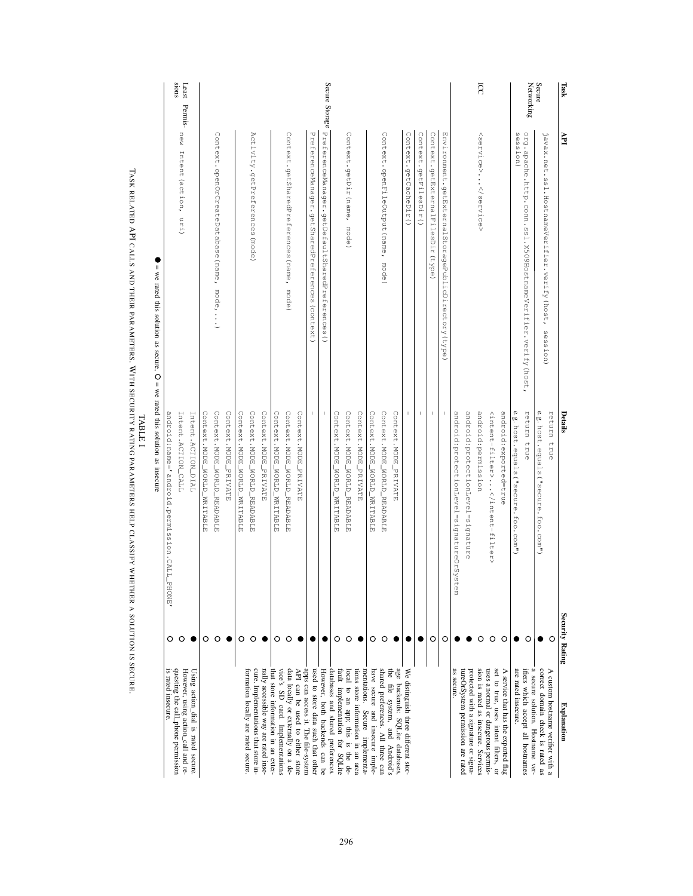|                                                                            |                 | <b>LABLE 1</b>                                     |                                                                                     |                |
|----------------------------------------------------------------------------|-----------------|----------------------------------------------------|-------------------------------------------------------------------------------------|----------------|
|                                                                            |                 |                                                    | 0<br>$=$ we rated this solution as secure, $O =$ we rated this solution as insecure |                |
| questing the call_phone permission<br>is rated insecure.                   | O               | android:name='android.permission.CALL_F<br>HONE,   |                                                                                     |                |
| However, using action_call and re-                                         | O               | Intent.ACTION_CALL                                 | Permis- new Intent (action, uri)                                                    | sions<br>Least |
| Using action_dial is rated secure.                                         |                 | Intent.ACTION_DIAL                                 |                                                                                     |                |
|                                                                            | O               | Context.MODE_WORLD_WRITABLE                        |                                                                                     |                |
|                                                                            | O               | Context.MODE_MORLD_READABLE                        | Context.openOrCreateDatabase(name, mode,)                                           |                |
|                                                                            |                 | Context.MODE_PRIVATE                               |                                                                                     |                |
|                                                                            | O               | Context.MODE_WORLD_WRITABLE                        |                                                                                     |                |
| cure. Implementations that store in-<br>formation locally are rated secure | O               | Context.MODE_WORLD_READABLE                        | Activity.getPreferences(mode)                                                       |                |
| nally accessible way are rated inse-                                       |                 | Context.MODE_PRIVATE                               |                                                                                     |                |
| vice's SD card. Implementations<br>that store information in an exter-     | O               | Context.MODE_WORLD_WRITABLE                        |                                                                                     |                |
| data locally or externally on a de-                                        | O               | Context.MODE_WORLD_READABLE                        | Context.getSharedPreferences(name, mode)                                            |                |
| API can be used to either store                                            |                 | Context.MODE_PRIVATE                               |                                                                                     |                |
| apps can access it. The file-system<br>used to store data such that other  |                 |                                                    | PreferenceManager.getSharedPreferences(context)                                     |                |
| However, both backends can be                                              |                 |                                                    | Secure Storage PreferenceManager.getDefaultSharedPreferences()                      |                |
| databases and shared preferences.<br>fault implementation for SQLite       | O               | Context.MODE_WORLD_WRITABLE                        |                                                                                     |                |
| local<br>to an app; this is the de-                                        | $\circ$         | Context.MODE_WORLD_READABLE                        | Context.getDir(name, mode)                                                          |                |
| mentations.<br>tions store information in an area<br>Secure implementa-    |                 | Context.MODE_PRIVATE                               |                                                                                     |                |
| have secure and insecure imple-                                            | O               | Context.MODE_WORLD_WRITABLE                        |                                                                                     |                |
| shared preferences. All three can                                          | $\circ$         | Context.MODE_WORLD_READABLE                        | Context.openFileOutput (name, mode)                                                 |                |
| age<br>the<br>file system, and<br>backends: SQLite databases,<br>Android's |                 | Context.MODE_PRIVATE                               |                                                                                     |                |
| We distinguish three different stor-                                       |                 |                                                    | Context.getCacheDir()                                                               |                |
|                                                                            |                 | $\mathbb I$                                        | Context.getFilesDir()                                                               |                |
|                                                                            | O               | 1                                                  | Context.getExternalFilesDir(type)                                                   |                |
|                                                                            | O               |                                                    | Environment.getExternalStoragePublicDirectory(type)                                 |                |
| as secure.                                                                 |                 | android: protectionLevel=signatureOrSyst<br>⊕<br>W |                                                                                     |                |
| protected with a signature or signa-<br>tureOrSystem permission are rated  |                 | android: protectionLevel=signature                 |                                                                                     |                |
| sion is rated as insecure. Services                                        | O               | android: permission                                | <service><!--</td--><td>ΓC</td></service>                                           | ΓC             |
| set to true, uses intent filters, or<br>uses a normal or dangerous permis- | O               |                                                    |                                                                                     |                |
| A service that has the exported flag                                       | $\circ$         | android:exported=true                              |                                                                                     |                |
| are rated insecure.                                                        | 0               | e.g. host.equals("secure.foo.com")                 | session)                                                                            |                |
| a secure solution. Hostname ver-<br>ifiers which accept all hostnames      | O               | return true                                        | org. apache.http.conn.ssl.X509HostnameVerifier.verify(host,                         | Networking     |
| correct domain check is rated as                                           |                 | e.g. host.equals("secure.foo.com")                 | javax.net.ssl.HostnameVerifier.verify(host, session)                                | Secure         |
| A custom hostname verifier with a                                          | С               | return true                                        |                                                                                     |                |
| Explanation                                                                | Security Rating | Details                                            | ИÞІ                                                                                 | Task           |

TASK RELATED API CALLS AND THEIR PARAMETERS.WITH **W** SECURITY RATING PARAMETERS HELP CLASSIFY WHETHER A SOLUTION IS SECURE.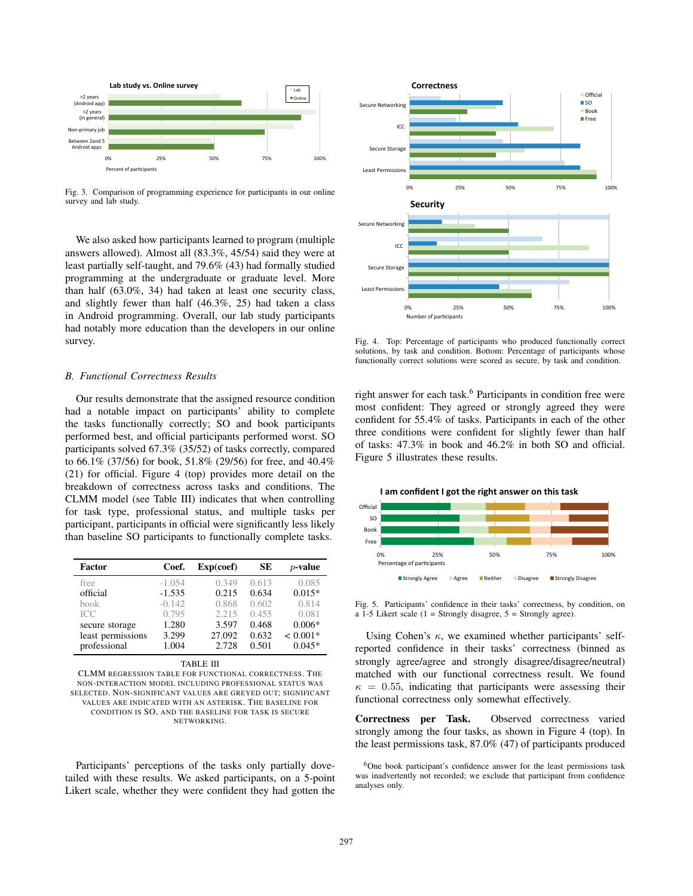

Fig. 3. Comparison of programming experience for participants in our online survey and lab study.

We also asked how participants learned to program (multiple answers allowed). Almost all (83.3%, 45/54) said they were at least partially self-taught, and 79.6% (43) had formally studied programming at the undergraduate or graduate level. More than half (63.0%, 34) had taken at least one security class, and slightly fewer than half (46.3%, 25) had taken a class in Android programming. Overall, our lab study participants had notably more education than the developers in our online survey.

## *B. Functional Correctness Results*

Our results demonstrate that the assigned resource condition had a notable impact on participants' ability to complete the tasks functionally correctly; SO and book participants performed best, and official participants performed worst. SO participants solved 67.3% (35/52) of tasks correctly, compared to 66.1% (37/56) for book, 51.8% (29/56) for free, and 40.4% (21) for official. Figure 4 (top) provides more detail on the breakdown of correctness across tasks and conditions. The CLMM model (see Table III) indicates that when controlling for task type, professional status, and multiple tasks per participant, participants in official were significantly less likely than baseline SO participants to functionally complete tasks.

| Factor            | Coef.    | Exp(coef) | SЕ    | $p$ -value |
|-------------------|----------|-----------|-------|------------|
| free              | $-1.054$ | 0.349     | 0.613 | 0.085      |
| official          | $-1.535$ | 0.215     | 0.634 | $0.015*$   |
| book              | $-0.142$ | 0.868     | 0.602 | 0.814      |
| <b>ICC</b>        | 0.795    | 2.215     | 0.455 | 0.081      |
| secure storage    | 1.280    | 3.597     | 0.468 | $0.006*$   |
| least permissions | 3.299    | 27.092    | 0.632 | $< 0.001*$ |
| professional      | 1.004    | 2.728     | 0.501 | $0.045*$   |

TABLE III CLMM REGRESSION TABLE FOR FUNCTIONAL CORRECTNESS. THE NON-INTERACTION MODEL INCLUDING PROFESSIONAL STATUS WAS SELECTED. NON-SIGNIFICANT VALUES ARE GREYED OUT; SIGNIFICANT VALUES ARE INDICATED WITH AN ASTERISK. THE BASELINE FOR CONDITION IS SO, AND THE BASELINE FOR TASK IS SECURE **NETWORKING** 

Participants' perceptions of the tasks only partially dovetailed with these results. We asked participants, on a 5-point Likert scale, whether they were confident they had gotten the



Fig. 4. Top: Percentage of participants who produced functionally correct solutions, by task and condition. Bottom: Percentage of participants whose functionally correct solutions were scored as secure, by task and condition.

right answer for each task.<sup>6</sup> Participants in condition free were most confident: They agreed or strongly agreed they were confident for 55.4% of tasks. Participants in each of the other three conditions were confident for slightly fewer than half of tasks: 47.3% in book and 46.2% in both SO and official. Figure 5 illustrates these results.



Fig. 5. Participants' confidence in their tasks' correctness, by condition, on a 1-5 Likert scale (1 = Strongly disagree,  $5$  = Strongly agree).

Using Cohen's  $\kappa$ , we examined whether participants' selfreported confidence in their tasks' correctness (binned as strongly agree/agree and strongly disagree/disagree/neutral) matched with our functional correctness result. We found  $\kappa = 0.55$ , indicating that participants were assessing their functional correctness only somewhat effectively.

Correctness per Task. Observed correctness varied strongly among the four tasks, as shown in Figure 4 (top). In the least permissions task, 87.0% (47) of participants produced

6One book participant's confidence answer for the least permissions task was inadvertently not recorded; we exclude that participant from confidence analyses only.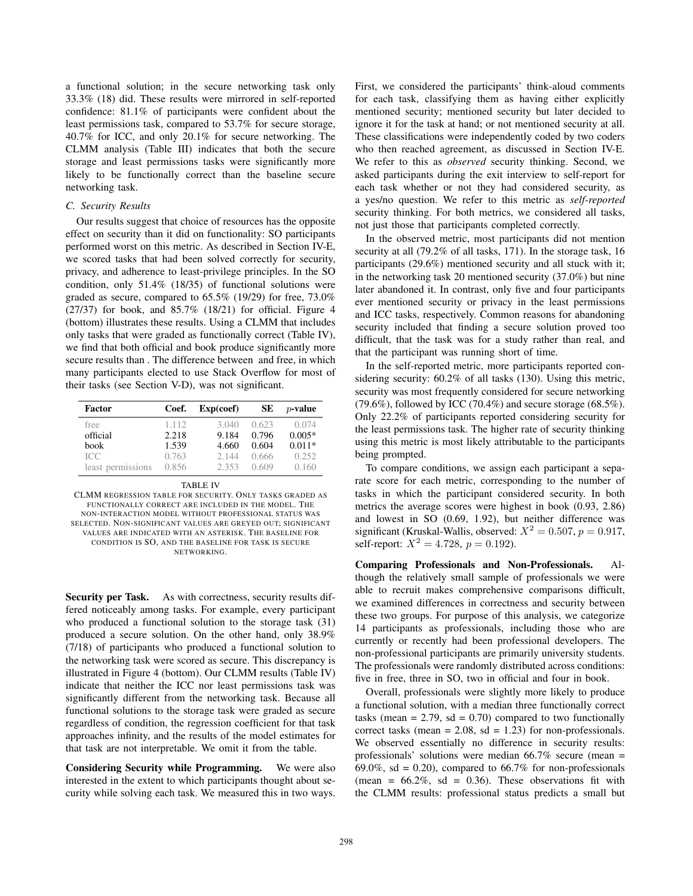a functional solution; in the secure networking task only 33.3% (18) did. These results were mirrored in self-reported confidence: 81.1% of participants were confident about the least permissions task, compared to 53.7% for secure storage, 40.7% for ICC, and only 20.1% for secure networking. The CLMM analysis (Table III) indicates that both the secure storage and least permissions tasks were significantly more likely to be functionally correct than the baseline secure networking task.

## *C. Security Results*

Our results suggest that choice of resources has the opposite effect on security than it did on functionality: SO participants performed worst on this metric. As described in Section IV-E, we scored tasks that had been solved correctly for security, privacy, and adherence to least-privilege principles. In the SO condition, only 51.4% (18/35) of functional solutions were graded as secure, compared to 65.5% (19/29) for free, 73.0% (27/37) for book, and 85.7% (18/21) for official. Figure 4 (bottom) illustrates these results. Using a CLMM that includes only tasks that were graded as functionally correct (Table IV), we find that both official and book produce significantly more secure results than . The difference between and free, in which many participants elected to use Stack Overflow for most of their tasks (see Section V-D), was not significant.

| Factor            | Coef. | Exp(coef) | SЕ    | $p$ -value |
|-------------------|-------|-----------|-------|------------|
| free              | 1.112 | 3.040     | 0.623 | 0.074      |
| official          | 2.218 | 9.184     | 0.796 | $0.005*$   |
| book              | 1.539 | 4.660     | 0.604 | $0.011*$   |
| TCC.              | 0.763 | 2.144     | 0.666 | 0.252      |
| least permissions | 0.856 | 2.353     | 0.609 | 0.160      |

TABLE IV

CLMM REGRESSION TABLE FOR SECURITY. ONLY TASKS GRADED AS FUNCTIONALLY CORRECT ARE INCLUDED IN THE MODEL. THE NON-INTERACTION MODEL WITHOUT PROFESSIONAL STATUS WAS SELECTED. NON-SIGNIFICANT VALUES ARE GREYED OUT; SIGNIFICANT VALUES ARE INDICATED WITH AN ASTERISK. THE BASELINE FOR CONDITION IS SO, AND THE BASELINE FOR TASK IS SECURE NETWORKING.

Security per Task. As with correctness, security results differed noticeably among tasks. For example, every participant who produced a functional solution to the storage task (31) produced a secure solution. On the other hand, only 38.9% (7/18) of participants who produced a functional solution to the networking task were scored as secure. This discrepancy is illustrated in Figure 4 (bottom). Our CLMM results (Table IV) indicate that neither the ICC nor least permissions task was significantly different from the networking task. Because all functional solutions to the storage task were graded as secure regardless of condition, the regression coefficient for that task approaches infinity, and the results of the model estimates for that task are not interpretable. We omit it from the table.

Considering Security while Programming. We were also interested in the extent to which participants thought about security while solving each task. We measured this in two ways. First, we considered the participants' think-aloud comments for each task, classifying them as having either explicitly mentioned security; mentioned security but later decided to ignore it for the task at hand; or not mentioned security at all. These classifications were independently coded by two coders who then reached agreement, as discussed in Section IV-E. We refer to this as *observed* security thinking. Second, we asked participants during the exit interview to self-report for each task whether or not they had considered security, as a yes/no question. We refer to this metric as *self-reported* security thinking. For both metrics, we considered all tasks, not just those that participants completed correctly.

In the observed metric, most participants did not mention security at all (79.2% of all tasks, 171). In the storage task, 16 participants (29.6%) mentioned security and all stuck with it; in the networking task 20 mentioned security (37.0%) but nine later abandoned it. In contrast, only five and four participants ever mentioned security or privacy in the least permissions and ICC tasks, respectively. Common reasons for abandoning security included that finding a secure solution proved too difficult, that the task was for a study rather than real, and that the participant was running short of time.

In the self-reported metric, more participants reported considering security: 60.2% of all tasks (130). Using this metric, security was most frequently considered for secure networking  $(79.6\%)$ , followed by ICC  $(70.4\%)$  and secure storage  $(68.5\%)$ . Only 22.2% of participants reported considering security for the least permissions task. The higher rate of security thinking using this metric is most likely attributable to the participants being prompted.

To compare conditions, we assign each participant a separate score for each metric, corresponding to the number of tasks in which the participant considered security. In both metrics the average scores were highest in book (0.93, 2.86) and lowest in SO (0.69, 1.92), but neither difference was significant (Kruskal-Wallis, observed:  $X^2 = 0.507$ ,  $p = 0.917$ , self-report:  $X^2 = 4.728$ ,  $p = 0.192$ ).

Comparing Professionals and Non-Professionals. Although the relatively small sample of professionals we were able to recruit makes comprehensive comparisons difficult, we examined differences in correctness and security between these two groups. For purpose of this analysis, we categorize 14 participants as professionals, including those who are currently or recently had been professional developers. The non-professional participants are primarily university students. The professionals were randomly distributed across conditions: five in free, three in SO, two in official and four in book.

Overall, professionals were slightly more likely to produce a functional solution, with a median three functionally correct tasks (mean  $= 2.79$ , sd  $= 0.70$ ) compared to two functionally correct tasks (mean  $= 2.08$ , sd  $= 1.23$ ) for non-professionals. We observed essentially no difference in security results: professionals' solutions were median 66.7% secure (mean = 69.0%, sd = 0.20), compared to 66.7% for non-professionals (mean =  $66.2\%$ , sd = 0.36). These observations fit with the CLMM results: professional status predicts a small but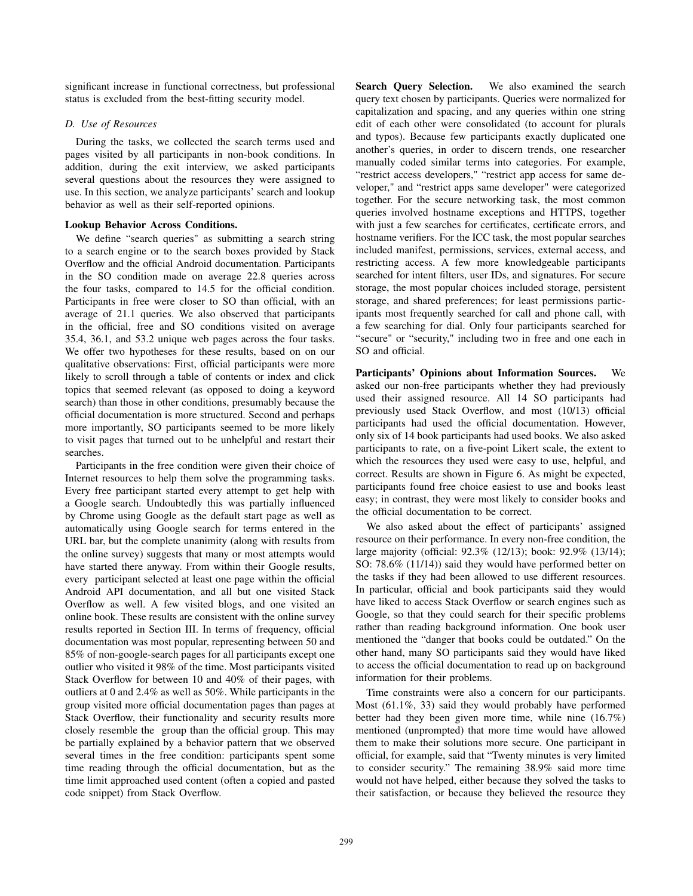significant increase in functional correctness, but professional status is excluded from the best-fitting security model.

# *D. Use of Resources*

During the tasks, we collected the search terms used and pages visited by all participants in non-book conditions. In addition, during the exit interview, we asked participants several questions about the resources they were assigned to use. In this section, we analyze participants' search and lookup behavior as well as their self-reported opinions.

## Lookup Behavior Across Conditions.

We define "search queries" as submitting a search string to a search engine or to the search boxes provided by Stack Overflow and the official Android documentation. Participants in the SO condition made on average 22.8 queries across the four tasks, compared to 14.5 for the official condition. Participants in free were closer to SO than official, with an average of 21.1 queries. We also observed that participants in the official, free and SO conditions visited on average 35.4, 36.1, and 53.2 unique web pages across the four tasks. We offer two hypotheses for these results, based on on our qualitative observations: First, official participants were more likely to scroll through a table of contents or index and click topics that seemed relevant (as opposed to doing a keyword search) than those in other conditions, presumably because the official documentation is more structured. Second and perhaps more importantly, SO participants seemed to be more likely to visit pages that turned out to be unhelpful and restart their searches.

Participants in the free condition were given their choice of Internet resources to help them solve the programming tasks. Every free participant started every attempt to get help with a Google search. Undoubtedly this was partially influenced by Chrome using Google as the default start page as well as automatically using Google search for terms entered in the URL bar, but the complete unanimity (along with results from the online survey) suggests that many or most attempts would have started there anyway. From within their Google results, every participant selected at least one page within the official Android API documentation, and all but one visited Stack Overflow as well. A few visited blogs, and one visited an online book. These results are consistent with the online survey results reported in Section III. In terms of frequency, official documentation was most popular, representing between 50 and 85% of non-google-search pages for all participants except one outlier who visited it 98% of the time. Most participants visited Stack Overflow for between 10 and 40% of their pages, with outliers at 0 and 2.4% as well as 50%. While participants in the group visited more official documentation pages than pages at Stack Overflow, their functionality and security results more closely resemble the group than the official group. This may be partially explained by a behavior pattern that we observed several times in the free condition: participants spent some time reading through the official documentation, but as the time limit approached used content (often a copied and pasted code snippet) from Stack Overflow.

Search Query Selection. We also examined the search query text chosen by participants. Queries were normalized for capitalization and spacing, and any queries within one string edit of each other were consolidated (to account for plurals and typos). Because few participants exactly duplicated one another's queries, in order to discern trends, one researcher manually coded similar terms into categories. For example, "restrict access developers," "restrict app access for same developer," and "restrict apps same developer" were categorized together. For the secure networking task, the most common queries involved hostname exceptions and HTTPS, together with just a few searches for certificates, certificate errors, and hostname verifiers. For the ICC task, the most popular searches included manifest, permissions, services, external access, and restricting access. A few more knowledgeable participants searched for intent filters, user IDs, and signatures. For secure storage, the most popular choices included storage, persistent storage, and shared preferences; for least permissions participants most frequently searched for call and phone call, with a few searching for dial. Only four participants searched for "secure" or "security," including two in free and one each in SO and official.

Participants' Opinions about Information Sources. We asked our non-free participants whether they had previously used their assigned resource. All 14 SO participants had previously used Stack Overflow, and most (10/13) official participants had used the official documentation. However, only six of 14 book participants had used books. We also asked participants to rate, on a five-point Likert scale, the extent to which the resources they used were easy to use, helpful, and correct. Results are shown in Figure 6. As might be expected, participants found free choice easiest to use and books least easy; in contrast, they were most likely to consider books and the official documentation to be correct.

We also asked about the effect of participants' assigned resource on their performance. In every non-free condition, the large majority (official: 92.3% (12/13); book: 92.9% (13/14); SO: 78.6% (11/14)) said they would have performed better on the tasks if they had been allowed to use different resources. In particular, official and book participants said they would have liked to access Stack Overflow or search engines such as Google, so that they could search for their specific problems rather than reading background information. One book user mentioned the "danger that books could be outdated." On the other hand, many SO participants said they would have liked to access the official documentation to read up on background information for their problems.

Time constraints were also a concern for our participants. Most (61.1%, 33) said they would probably have performed better had they been given more time, while nine (16.7%) mentioned (unprompted) that more time would have allowed them to make their solutions more secure. One participant in official, for example, said that "Twenty minutes is very limited to consider security." The remaining 38.9% said more time would not have helped, either because they solved the tasks to their satisfaction, or because they believed the resource they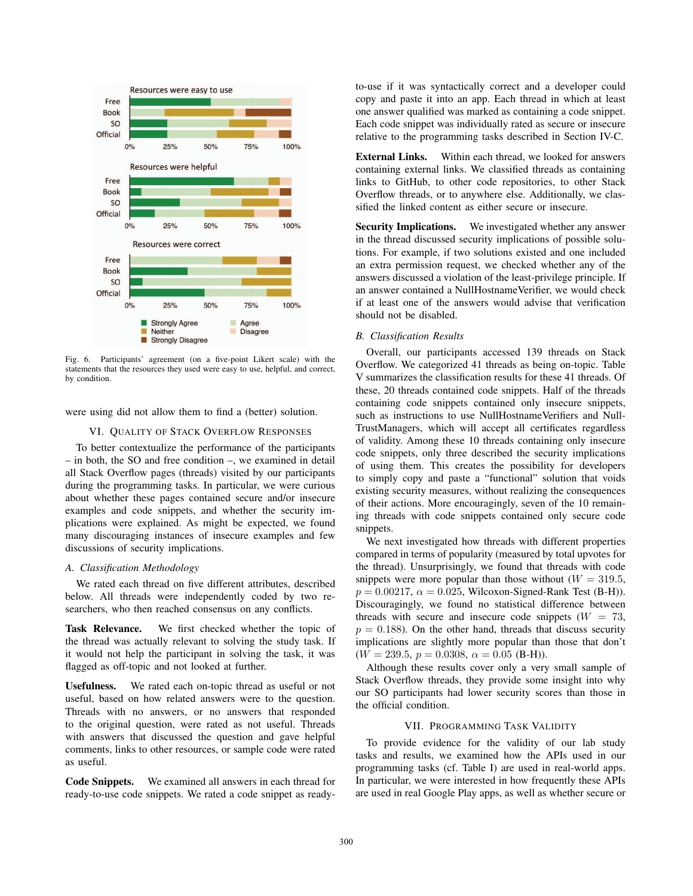

Fig. 6. Participants' agreement (on a five-point Likert scale) with the statements that the resources they used were easy to use, helpful, and correct, by condition.

were using did not allow them to find a (better) solution.

#### VI. QUALITY OF STACK OVERFLOW RESPONSES

To better contextualize the performance of the participants – in both, the SO and free condition –, we examined in detail all Stack Overflow pages (threads) visited by our participants during the programming tasks. In particular, we were curious about whether these pages contained secure and/or insecure examples and code snippets, and whether the security implications were explained. As might be expected, we found many discouraging instances of insecure examples and few discussions of security implications.

## *A. Classification Methodology*

We rated each thread on five different attributes, described below. All threads were independently coded by two researchers, who then reached consensus on any conflicts.

Task Relevance. We first checked whether the topic of the thread was actually relevant to solving the study task. If it would not help the participant in solving the task, it was flagged as off-topic and not looked at further.

Usefulness. We rated each on-topic thread as useful or not useful, based on how related answers were to the question. Threads with no answers, or no answers that responded to the original question, were rated as not useful. Threads with answers that discussed the question and gave helpful comments, links to other resources, or sample code were rated as useful.

Code Snippets. We examined all answers in each thread for ready-to-use code snippets. We rated a code snippet as readyto-use if it was syntactically correct and a developer could copy and paste it into an app. Each thread in which at least one answer qualified was marked as containing a code snippet. Each code snippet was individually rated as secure or insecure relative to the programming tasks described in Section IV-C.

External Links. Within each thread, we looked for answers containing external links. We classified threads as containing links to GitHub, to other code repositories, to other Stack Overflow threads, or to anywhere else. Additionally, we classified the linked content as either secure or insecure.

Security Implications. We investigated whether any answer in the thread discussed security implications of possible solutions. For example, if two solutions existed and one included an extra permission request, we checked whether any of the answers discussed a violation of the least-privilege principle. If an answer contained a NullHostnameVerifier, we would check if at least one of the answers would advise that verification should not be disabled.

#### *B. Classification Results*

Overall, our participants accessed 139 threads on Stack Overflow. We categorized 41 threads as being on-topic. Table V summarizes the classification results for these 41 threads. Of these, 20 threads contained code snippets. Half of the threads containing code snippets contained only insecure snippets, such as instructions to use NullHostnameVerifiers and Null-TrustManagers, which will accept all certificates regardless of validity. Among these 10 threads containing only insecure code snippets, only three described the security implications of using them. This creates the possibility for developers to simply copy and paste a "functional" solution that voids existing security measures, without realizing the consequences of their actions. More encouragingly, seven of the 10 remaining threads with code snippets contained only secure code snippets.

We next investigated how threads with different properties compared in terms of popularity (measured by total upvotes for the thread). Unsurprisingly, we found that threads with code snippets were more popular than those without  $(W = 319.5,$  $p = 0.00217$ ,  $\alpha = 0.025$ , Wilcoxon-Signed-Rank Test (B-H)). Discouragingly, we found no statistical difference between threads with secure and insecure code snippets  $(W = 73,$  $p = 0.188$ ). On the other hand, threads that discuss security implications are slightly more popular than those that don't  $(W = 239.5, p = 0.0308, \alpha = 0.05$  (B-H)).

Although these results cover only a very small sample of Stack Overflow threads, they provide some insight into why our SO participants had lower security scores than those in the official condition.

#### VII. PROGRAMMING TASK VALIDITY

To provide evidence for the validity of our lab study tasks and results, we examined how the APIs used in our programming tasks (cf. Table I) are used in real-world apps. In particular, we were interested in how frequently these APIs are used in real Google Play apps, as well as whether secure or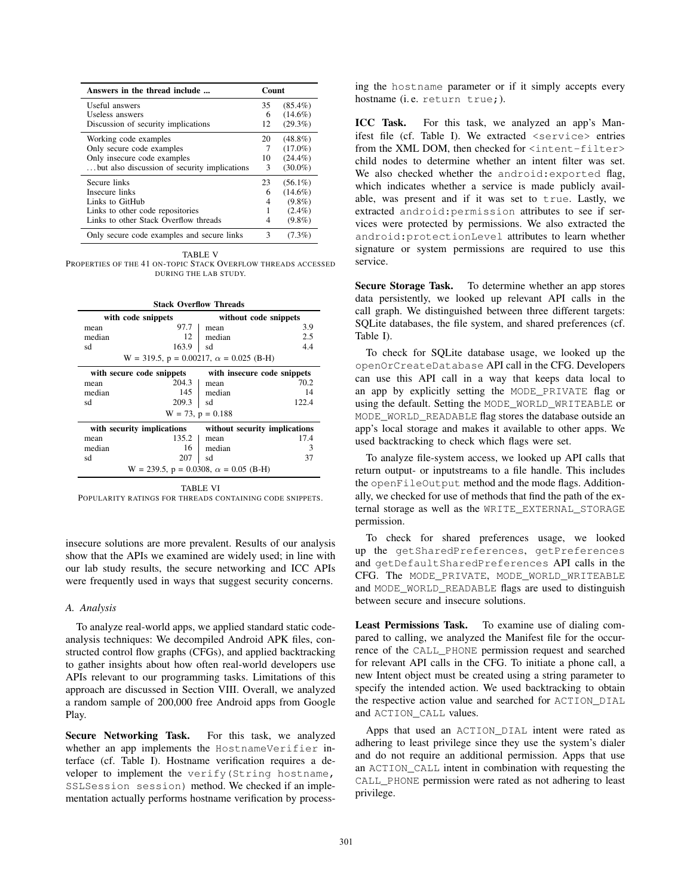| Answers in the thread include                |    | Count      |  |
|----------------------------------------------|----|------------|--|
| Useful answers                               | 35 | $(85.4\%)$ |  |
| Useless answers                              | 6  | $(14.6\%)$ |  |
| Discussion of security implications          | 12 | $(29.3\%)$ |  |
| Working code examples                        | 20 | $(48.8\%)$ |  |
| Only secure code examples                    | 7  | $(17.0\%)$ |  |
| Only insecure code examples                  | 10 | $(24.4\%)$ |  |
| but also discussion of security implications | 3  | $(30.0\%)$ |  |
| Secure links                                 | 23 | $(56.1\%)$ |  |
| Insecure links                               | 6  | $(14.6\%)$ |  |
| Links to GitHub                              | 4  | $(9.8\%)$  |  |
| Links to other code repositories             |    | $(2.4\%)$  |  |
| Links to other Stack Overflow threads        | 4  | $(9.8\%)$  |  |
| Only secure code examples and secure links   | 3  | $(7.3\%)$  |  |

TABLE V

PROPERTIES OF THE 41 ON-TOPIC STACK OVERFLOW THREADS ACCESSED DURING THE LAB STUDY.

| <b>Stack Overflow Threads</b>                               |                                                      |        |       |  |
|-------------------------------------------------------------|------------------------------------------------------|--------|-------|--|
| with code snippets<br>without code snippets                 |                                                      |        |       |  |
| mean                                                        | 97.7                                                 | mean   | 3.9   |  |
| median                                                      | 12                                                   | median | 2.5   |  |
| sd                                                          | 163.9                                                | sd     | 4.4   |  |
|                                                             | $W = 319.5$ , $p = 0.00217$ , $\alpha = 0.025$ (B-H) |        |       |  |
| with secure code snippets<br>with insecure code snippets    |                                                      |        |       |  |
| mean                                                        | 204.3                                                | mean   | 70.2  |  |
| median                                                      | $145 \;  $                                           | median | 14    |  |
| sd                                                          | 209.3                                                | sd     | 122.4 |  |
| $W = 73$ , $p = 0.188$                                      |                                                      |        |       |  |
| with security implications<br>without security implications |                                                      |        |       |  |
| mean                                                        | 135.2                                                | mean   | 17.4  |  |
| median                                                      | 16                                                   | median | 3     |  |
| sd                                                          | 207                                                  | sd     | 37    |  |
| $W = 239.5$ , $p = 0.0308$ , $\alpha = 0.05$ (B-H)          |                                                      |        |       |  |

TABLE VI

POPULARITY RATINGS FOR THREADS CONTAINING CODE SNIPPETS.

insecure solutions are more prevalent. Results of our analysis show that the APIs we examined are widely used; in line with our lab study results, the secure networking and ICC APIs were frequently used in ways that suggest security concerns.

## *A. Analysis*

To analyze real-world apps, we applied standard static codeanalysis techniques: We decompiled Android APK files, constructed control flow graphs (CFGs), and applied backtracking to gather insights about how often real-world developers use APIs relevant to our programming tasks. Limitations of this approach are discussed in Section VIII. Overall, we analyzed a random sample of 200,000 free Android apps from Google Play.

Secure Networking Task. For this task, we analyzed whether an app implements the HostnameVerifier interface (cf. Table I). Hostname verification requires a developer to implement the verify (String hostname, SSLSession session) method. We checked if an implementation actually performs hostname verification by process-

ing the hostname parameter or if it simply accepts every hostname (i.e. return true;).

ICC Task. For this task, we analyzed an app's Manifest file (cf. Table I). We extracted <service> entries from the XML DOM, then checked for <intent-filter> child nodes to determine whether an intent filter was set. We also checked whether the android: exported flag, which indicates whether a service is made publicly available, was present and if it was set to true. Lastly, we extracted android:permission attributes to see if services were protected by permissions. We also extracted the android:protectionLevel attributes to learn whether signature or system permissions are required to use this service.

Secure Storage Task. To determine whether an app stores data persistently, we looked up relevant API calls in the call graph. We distinguished between three different targets: SQLite databases, the file system, and shared preferences (cf. Table I).

To check for SQLite database usage, we looked up the openOrCreateDatabase API call in the CFG. Developers can use this API call in a way that keeps data local to an app by explicitly setting the MODE\_PRIVATE flag or using the default. Setting the MODE\_WORLD\_WRITEABLE or MODE\_WORLD\_READABLE flag stores the database outside an app's local storage and makes it available to other apps. We used backtracking to check which flags were set.

To analyze file-system access, we looked up API calls that return output- or inputstreams to a file handle. This includes the openFileOutput method and the mode flags. Additionally, we checked for use of methods that find the path of the external storage as well as the WRITE\_EXTERNAL\_STORAGE permission.

To check for shared preferences usage, we looked up the getSharedPreferences, getPreferences and getDefaultSharedPreferences API calls in the CFG. The MODE\_PRIVATE, MODE\_WORLD\_WRITEABLE and MODE\_WORLD\_READABLE flags are used to distinguish between secure and insecure solutions.

Least Permissions Task. To examine use of dialing compared to calling, we analyzed the Manifest file for the occurrence of the CALL\_PHONE permission request and searched for relevant API calls in the CFG. To initiate a phone call, a new Intent object must be created using a string parameter to specify the intended action. We used backtracking to obtain the respective action value and searched for ACTION\_DIAL and ACTION CALL values.

Apps that used an ACTION\_DIAL intent were rated as adhering to least privilege since they use the system's dialer and do not require an additional permission. Apps that use an ACTION\_CALL intent in combination with requesting the CALL\_PHONE permission were rated as not adhering to least privilege.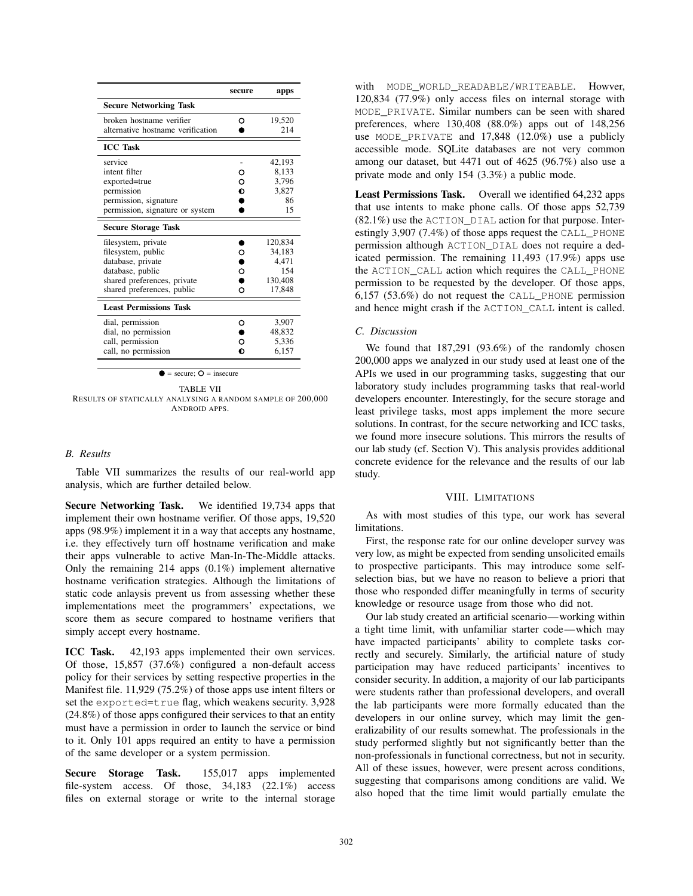|                                          | secure         | apps    |
|------------------------------------------|----------------|---------|
| <b>Secure Networking Task</b>            |                |         |
| broken hostname verifier                 | O              | 19,520  |
| alternative hostname verification        |                | 214     |
| <b>ICC Task</b>                          |                |         |
| service                                  |                | 42,193  |
| intent filter                            | O              | 8,133   |
| exported=true                            | Ō              | 3.796   |
| permission                               | Ō              | 3,827   |
| permission, signature                    |                | 86      |
| permission, signature or system          |                | 15      |
| Secure Storage Task                      |                |         |
| filesystem, private                      |                | 120,834 |
| filesystem, public                       | O              | 34,183  |
| database, private                        |                | 4,471   |
| database, public                         | $\rm\tilde{o}$ | 154     |
| shared preferences, private              |                | 130,408 |
| shared preferences, public               | $\Omega$       | 17,848  |
| <b>Least Permissions Task</b>            |                |         |
| dial, permission                         | O              | 3,907   |
| dial, no permission                      |                | 48,832  |
| call, permission                         | O              | 5,336   |
| call, no permission                      | O              | 6,157   |
|                                          |                |         |
| $\bullet$ = secure; $\bullet$ = insecure |                |         |
| TABLE VII                                |                |         |

RESULTS OF STATICALLY ANALYSING A RANDOM SAMPLE OF 200,000 ANDROID APPS.

#### *B. Results*

Table VII summarizes the results of our real-world app analysis, which are further detailed below.

Secure Networking Task. We identified 19,734 apps that implement their own hostname verifier. Of those apps, 19,520 apps (98.9%) implement it in a way that accepts any hostname, i.e. they effectively turn off hostname verification and make their apps vulnerable to active Man-In-The-Middle attacks. Only the remaining 214 apps (0.1%) implement alternative hostname verification strategies. Although the limitations of static code anlaysis prevent us from assessing whether these implementations meet the programmers' expectations, we score them as secure compared to hostname verifiers that simply accept every hostname.

ICC Task. 42,193 apps implemented their own services. Of those, 15,857 (37.6%) configured a non-default access policy for their services by setting respective properties in the Manifest file. 11,929 (75.2%) of those apps use intent filters or set the exported=true flag, which weakens security. 3,928 (24.8%) of those apps configured their services to that an entity must have a permission in order to launch the service or bind to it. Only 101 apps required an entity to have a permission of the same developer or a system permission.

Secure Storage Task. 155,017 apps implemented file-system access. Of those, 34,183 (22.1%) access files on external storage or write to the internal storage

with MODE WORLD READABLE/WRITEABLE. Howver, 120,834 (77.9%) only access files on internal storage with MODE\_PRIVATE. Similar numbers can be seen with shared preferences, where 130,408 (88.0%) apps out of 148,256 use MODE\_PRIVATE and 17,848 (12.0%) use a publicly accessible mode. SQLite databases are not very common among our dataset, but 4471 out of 4625 (96.7%) also use a private mode and only 154 (3.3%) a public mode.

Least Permissions Task. Overall we identified 64,232 apps that use intents to make phone calls. Of those apps 52,739  $(82.1\%)$  use the ACTION DIAL action for that purpose. Interestingly 3,907 (7.4%) of those apps request the CALL\_PHONE permission although ACTION\_DIAL does not require a dedicated permission. The remaining 11,493 (17.9%) apps use the ACTION\_CALL action which requires the CALL\_PHONE permission to be requested by the developer. Of those apps,  $6,157$  (53.6%) do not request the CALL PHONE permission and hence might crash if the ACTION\_CALL intent is called.

#### *C. Discussion*

We found that 187,291 (93.6%) of the randomly chosen 200,000 apps we analyzed in our study used at least one of the APIs we used in our programming tasks, suggesting that our laboratory study includes programming tasks that real-world developers encounter. Interestingly, for the secure storage and least privilege tasks, most apps implement the more secure solutions. In contrast, for the secure networking and ICC tasks, we found more insecure solutions. This mirrors the results of our lab study (cf. Section V). This analysis provides additional concrete evidence for the relevance and the results of our lab study.

#### VIII. LIMITATIONS

As with most studies of this type, our work has several limitations.

First, the response rate for our online developer survey was very low, as might be expected from sending unsolicited emails to prospective participants. This may introduce some selfselection bias, but we have no reason to believe a priori that those who responded differ meaningfully in terms of security knowledge or resource usage from those who did not.

Our lab study created an artificial scenario—working within a tight time limit, with unfamiliar starter code—which may have impacted participants' ability to complete tasks correctly and securely. Similarly, the artificial nature of study participation may have reduced participants' incentives to consider security. In addition, a majority of our lab participants were students rather than professional developers, and overall the lab participants were more formally educated than the developers in our online survey, which may limit the generalizability of our results somewhat. The professionals in the study performed slightly but not significantly better than the non-professionals in functional correctness, but not in security. All of these issues, however, were present across conditions, suggesting that comparisons among conditions are valid. We also hoped that the time limit would partially emulate the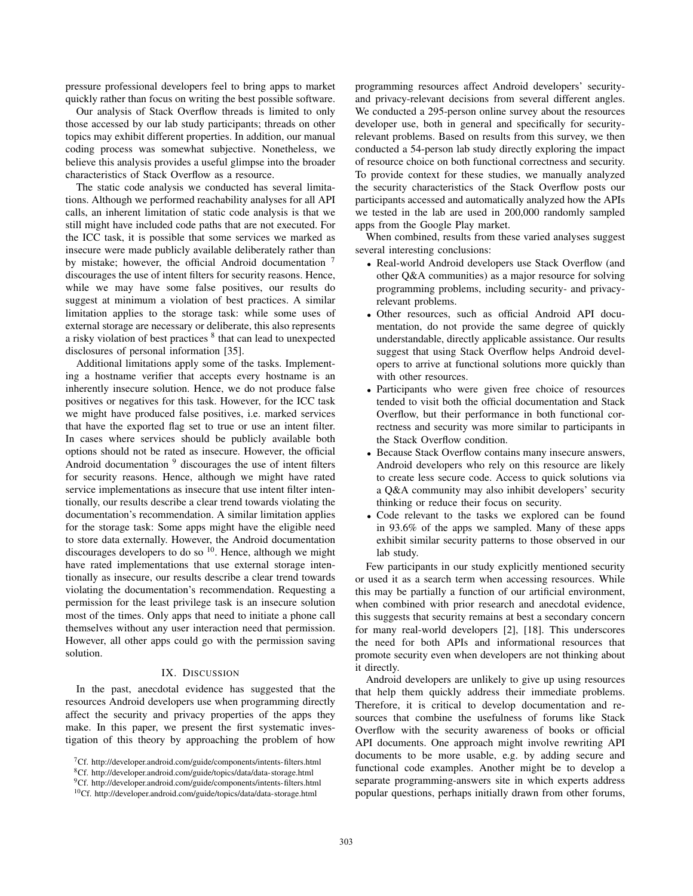pressure professional developers feel to bring apps to market quickly rather than focus on writing the best possible software.

Our analysis of Stack Overflow threads is limited to only those accessed by our lab study participants; threads on other topics may exhibit different properties. In addition, our manual coding process was somewhat subjective. Nonetheless, we believe this analysis provides a useful glimpse into the broader characteristics of Stack Overflow as a resource.

The static code analysis we conducted has several limitations. Although we performed reachability analyses for all API calls, an inherent limitation of static code analysis is that we still might have included code paths that are not executed. For the ICC task, it is possible that some services we marked as insecure were made publicly available deliberately rather than by mistake; however, the official Android documentation <sup>7</sup> discourages the use of intent filters for security reasons. Hence, while we may have some false positives, our results do suggest at minimum a violation of best practices. A similar limitation applies to the storage task: while some uses of external storage are necessary or deliberate, this also represents a risky violation of best practices <sup>8</sup> that can lead to unexpected disclosures of personal information [35].

Additional limitations apply some of the tasks. Implementing a hostname verifier that accepts every hostname is an inherently insecure solution. Hence, we do not produce false positives or negatives for this task. However, for the ICC task we might have produced false positives, i.e. marked services that have the exported flag set to true or use an intent filter. In cases where services should be publicly available both options should not be rated as insecure. However, the official Android documentation <sup>9</sup> discourages the use of intent filters for security reasons. Hence, although we might have rated service implementations as insecure that use intent filter intentionally, our results describe a clear trend towards violating the documentation's recommendation. A similar limitation applies for the storage task: Some apps might have the eligible need to store data externally. However, the Android documentation discourages developers to do so  $10$ . Hence, although we might have rated implementations that use external storage intentionally as insecure, our results describe a clear trend towards violating the documentation's recommendation. Requesting a permission for the least privilege task is an insecure solution most of the times. Only apps that need to initiate a phone call themselves without any user interaction need that permission. However, all other apps could go with the permission saving solution.

# IX. DISCUSSION

In the past, anecdotal evidence has suggested that the resources Android developers use when programming directly affect the security and privacy properties of the apps they make. In this paper, we present the first systematic investigation of this theory by approaching the problem of how

programming resources affect Android developers' securityand privacy-relevant decisions from several different angles. We conducted a 295-person online survey about the resources developer use, both in general and specifically for securityrelevant problems. Based on results from this survey, we then conducted a 54-person lab study directly exploring the impact of resource choice on both functional correctness and security. To provide context for these studies, we manually analyzed the security characteristics of the Stack Overflow posts our participants accessed and automatically analyzed how the APIs we tested in the lab are used in 200,000 randomly sampled apps from the Google Play market.

When combined, results from these varied analyses suggest several interesting conclusions:

- Real-world Android developers use Stack Overflow (and other Q&A communities) as a major resource for solving programming problems, including security- and privacyrelevant problems.
- Other resources, such as official Android API documentation, do not provide the same degree of quickly understandable, directly applicable assistance. Our results suggest that using Stack Overflow helps Android developers to arrive at functional solutions more quickly than with other resources.
- Participants who were given free choice of resources tended to visit both the official documentation and Stack Overflow, but their performance in both functional correctness and security was more similar to participants in the Stack Overflow condition.
- Because Stack Overflow contains many insecure answers, Android developers who rely on this resource are likely to create less secure code. Access to quick solutions via a Q&A community may also inhibit developers' security thinking or reduce their focus on security.
- Code relevant to the tasks we explored can be found in 93.6% of the apps we sampled. Many of these apps exhibit similar security patterns to those observed in our lab study.

Few participants in our study explicitly mentioned security or used it as a search term when accessing resources. While this may be partially a function of our artificial environment, when combined with prior research and anecdotal evidence, this suggests that security remains at best a secondary concern for many real-world developers [2], [18]. This underscores the need for both APIs and informational resources that promote security even when developers are not thinking about it directly.

Android developers are unlikely to give up using resources that help them quickly address their immediate problems. Therefore, it is critical to develop documentation and resources that combine the usefulness of forums like Stack Overflow with the security awareness of books or official API documents. One approach might involve rewriting API documents to be more usable, e.g. by adding secure and functional code examples. Another might be to develop a separate programming-answers site in which experts address popular questions, perhaps initially drawn from other forums,

 ${}^{7}$ Cf. http://developer.android.com/guide/components/intents-filters.html

<sup>8</sup>Cf. http://developer.android.com/guide/topics/data/data-storage.html

<sup>&</sup>lt;sup>9</sup>Cf. http://developer.android.com/guide/components/intents-filters.html 10Cf. http://developer.android.com/guide/topics/data/data-storage.html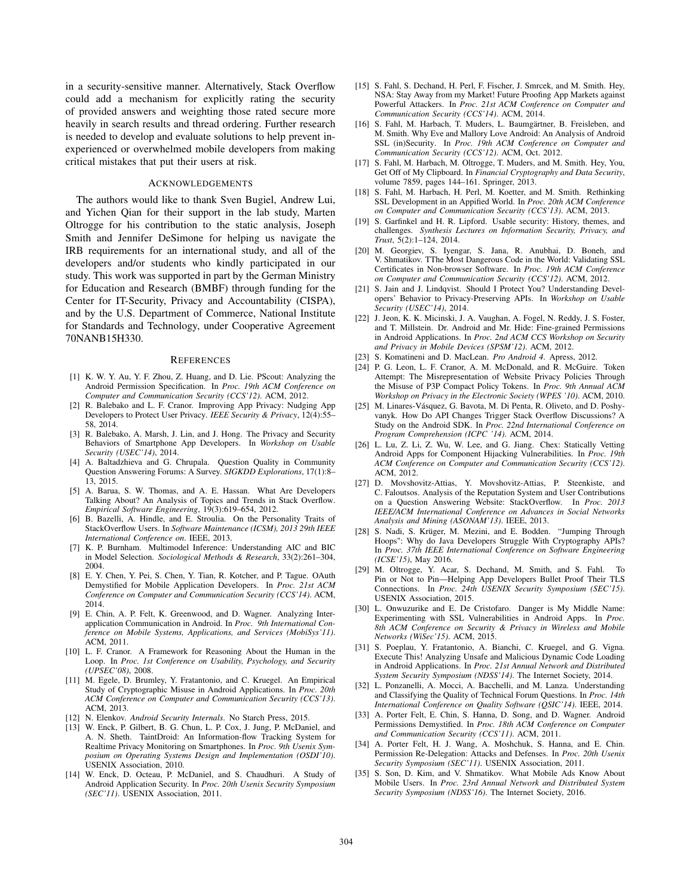in a security-sensitive manner. Alternatively, Stack Overflow could add a mechanism for explicitly rating the security of provided answers and weighting those rated secure more heavily in search results and thread ordering. Further research is needed to develop and evaluate solutions to help prevent inexperienced or overwhelmed mobile developers from making critical mistakes that put their users at risk.

#### ACKNOWLEDGEMENTS

The authors would like to thank Sven Bugiel, Andrew Lui, and Yichen Qian for their support in the lab study, Marten Oltrogge for his contribution to the static analysis, Joseph Smith and Jennifer DeSimone for helping us navigate the IRB requirements for an international study, and all of the developers and/or students who kindly participated in our study. This work was supported in part by the German Ministry for Education and Research (BMBF) through funding for the Center for IT-Security, Privacy and Accountability (CISPA), and by the U.S. Department of Commerce, National Institute for Standards and Technology, under Cooperative Agreement 70NANB15H330.

#### **REFERENCES**

- [1] K. W. Y. Au, Y. F. Zhou, Z. Huang, and D. Lie. PScout: Analyzing the Android Permission Specification. In *Proc. 19th ACM Conference on Computer and Communication Security (CCS'12)*. ACM, 2012.
- [2] R. Balebako and L. F. Cranor. Improving App Privacy: Nudging App Developers to Protect User Privacy. *IEEE Security & Privacy*, 12(4):55– 58, 2014.
- [3] R. Balebako, A. Marsh, J. Lin, and J. Hong. The Privacy and Security Behaviors of Smartphone App Developers. In *Workshop on Usable Security (USEC'14)*, 2014.
- [4] A. Baltadzhieva and G. Chrupala. Question Quality in Community Question Answering Forums: A Survey. *SIGKDD Explorations*, 17(1):8– 13, 2015.
- [5] A. Barua, S. W. Thomas, and A. E. Hassan. What Are Developers Talking About? An Analysis of Topics and Trends in Stack Overflow. *Empirical Software Engineering*, 19(3):619–654, 2012.
- [6] B. Bazelli, A. Hindle, and E. Stroulia. On the Personality Traits of StackOverflow Users. In *Software Maintenance (ICSM), 2013 29th IEEE International Conference on*. IEEE, 2013.
- [7] K. P. Burnham. Multimodel Inference: Understanding AIC and BIC in Model Selection. *Sociological Methods & Research*, 33(2):261–304, 2004.
- [8] E. Y. Chen, Y. Pei, S. Chen, Y. Tian, R. Kotcher, and P. Tague. OAuth Demystified for Mobile Application Developers. In *Proc. 21st ACM Conference on Computer and Communication Security (CCS'14)*. ACM, 2014.
- [9] E. Chin, A. P. Felt, K. Greenwood, and D. Wagner. Analyzing Interapplication Communication in Android. In *Proc. 9th International Conference on Mobile Systems, Applications, and Services (MobiSys'11)*. ACM, 2011.
- [10] L. F. Cranor. A Framework for Reasoning About the Human in the Loop. In *Proc. 1st Conference on Usability, Psychology, and Security (UPSEC'08)*, 2008.
- [11] M. Egele, D. Brumley, Y. Fratantonio, and C. Kruegel. An Empirical Study of Cryptographic Misuse in Android Applications. In *Proc. 20th ACM Conference on Computer and Communication Security (CCS'13)*. ACM, 2013.
- [12] N. Elenkov. *Android Security Internals*. No Starch Press, 2015.
- [13] W. Enck, P. Gilbert, B. G. Chun, L. P. Cox, J. Jung, P. McDaniel, and A. N. Sheth. TaintDroid: An Information-flow Tracking System for Realtime Privacy Monitoring on Smartphones. In *Proc. 9th Usenix Symposium on Operating Systems Design and Implementation (OSDI'10)*. USENIX Association, 2010.
- [14] W. Enck, D. Octeau, P. McDaniel, and S. Chaudhuri. A Study of Android Application Security. In *Proc. 20th Usenix Security Symposium (SEC'11)*. USENIX Association, 2011.
- [15] S. Fahl, S. Dechand, H. Perl, F. Fischer, J. Smrcek, and M. Smith. Hey, NSA: Stay Away from my Market! Future Proofing App Markets against Powerful Attackers. In *Proc. 21st ACM Conference on Computer and Communication Security (CCS'14)*. ACM, 2014.
- [16] S. Fahl, M. Harbach, T. Muders, L. Baumgärtner, B. Freisleben, and M. Smith. Why Eve and Mallory Love Android: An Analysis of Android SSL (in)Security. In *Proc. 19th ACM Conference on Computer and Communication Security (CCS'12)*. ACM, Oct. 2012.
- [17] S. Fahl, M. Harbach, M. Oltrogge, T. Muders, and M. Smith. Hey, You, Get Off of My Clipboard. In *Financial Cryptography and Data Security*, volume 7859, pages 144–161. Springer, 2013.
- [18] S. Fahl, M. Harbach, H. Perl, M. Koetter, and M. Smith. Rethinking SSL Development in an Appified World. In *Proc. 20th ACM Conference on Computer and Communication Security (CCS'13)*. ACM, 2013.
- [19] S. Garfinkel and H. R. Lipford. Usable security: History, themes, and challenges. *Synthesis Lectures on Information Security, Privacy, and Trust*, 5(2):1–124, 2014.
- [20] M. Georgiev, S. Iyengar, S. Jana, R. Anubhai, D. Boneh, and V. Shmatikov. TThe Most Dangerous Code in the World: Validating SSL Certificates in Non-browser Software. In *Proc. 19th ACM Conference on Computer and Communication Security (CCS'12)*. ACM, 2012.
- [21] S. Jain and J. Lindqvist. Should I Protect You? Understanding Developers' Behavior to Privacy-Preserving APIs. In *Workshop on Usable Security (USEC'14)*, 2014.
- [22] J. Jeon, K. K. Micinski, J. A. Vaughan, A. Fogel, N. Reddy, J. S. Foster, and T. Millstein. Dr. Android and Mr. Hide: Fine-grained Permissions in Android Applications. In *Proc. 2nd ACM CCS Workshop on Security and Privacy in Mobile Devices (SPSM'12)*. ACM, 2012.
- [23] S. Komatineni and D. MacLean. *Pro Android 4*. Apress, 2012.
- [24] P. G. Leon, L. F. Cranor, A. M. McDonald, and R. McGuire. Token Attempt: The Misrepresentation of Website Privacy Policies Through the Misuse of P3P Compact Policy Tokens. In *Proc. 9th Annual ACM Workshop on Privacy in the Electronic Society (WPES '10)*. ACM, 2010.
- [25] M. Linares-Vásquez, G. Bavota, M. Di Penta, R. Oliveto, and D. Poshyvanyk. How Do API Changes Trigger Stack Overflow Discussions? A Study on the Android SDK. In *Proc. 22nd International Conference on Program Comprehension (ICPC '14)*. ACM, 2014.
- [26] L. Lu, Z. Li, Z. Wu, W. Lee, and G. Jiang. Chex: Statically Vetting Android Apps for Component Hijacking Vulnerabilities. In *Proc. 19th ACM Conference on Computer and Communication Security (CCS'12)*. ACM, 2012.
- [27] D. Movshovitz-Attias, Y. Movshovitz-Attias, P. Steenkiste, and C. Faloutsos. Analysis of the Reputation System and User Contributions on a Question Answering Website: StackOverflow. In *Proc. 2013 IEEE/ACM International Conference on Advances in Social Networks Analysis and Mining (ASONAM'13)*. IEEE, 2013.
- [28] S. Nadi, S. Krüger, M. Mezini, and E. Bodden. "Jumping Through Hoops": Why do Java Developers Struggle With Cryptography APIs? In *Proc. 37th IEEE International Conference on Software Engineering (ICSE'15)*, May 2016.
- [29] M. Oltrogge, Y. Acar, S. Dechand, M. Smith, and S. Fahl. Pin or Not to Pin—Helping App Developers Bullet Proof Their TLS Connections. In *Proc. 24th USENIX Security Symposium (SEC'15)*. USENIX Association, 2015.
- [30] L. Onwuzurike and E. De Cristofaro. Danger is My Middle Name: Experimenting with SSL Vulnerabilities in Android Apps. In *Proc. 8th ACM Conference on Security & Privacy in Wireless and Mobile Networks (WiSec'15)*. ACM, 2015.
- [31] S. Poeplau, Y. Fratantonio, A. Bianchi, C. Kruegel, and G. Vigna. Execute This! Analyzing Unsafe and Malicious Dynamic Code Loading in Android Applications. In *Proc. 21st Annual Network and Distributed System Security Symposium (NDSS'14)*. The Internet Society, 2014.
- [32] L. Ponzanelli, A. Mocci, A. Bacchelli, and M. Lanza. Understanding and Classifying the Quality of Technical Forum Questions. In *Proc. 14th International Conference on Quality Software (QSIC'14)*. IEEE, 2014.
- [33] A. Porter Felt, E. Chin, S. Hanna, D. Song, and D. Wagner. Android Permissions Demystified. In *Proc. 18th ACM Conference on Computer and Communication Security (CCS'11)*. ACM, 2011.
- [34] A. Porter Felt, H. J. Wang, A. Moshchuk, S. Hanna, and E. Chin. Permission Re-Delegation: Attacks and Defenses. In *Proc. 20th Usenix Security Symposium (SEC'11)*. USENIX Association, 2011.
- [35] S. Son, D. Kim, and V. Shmatikov. What Mobile Ads Know About Mobile Users. In *Proc. 23rd Annual Network and Distributed System Security Symposium (NDSS'16)*. The Internet Society, 2016.